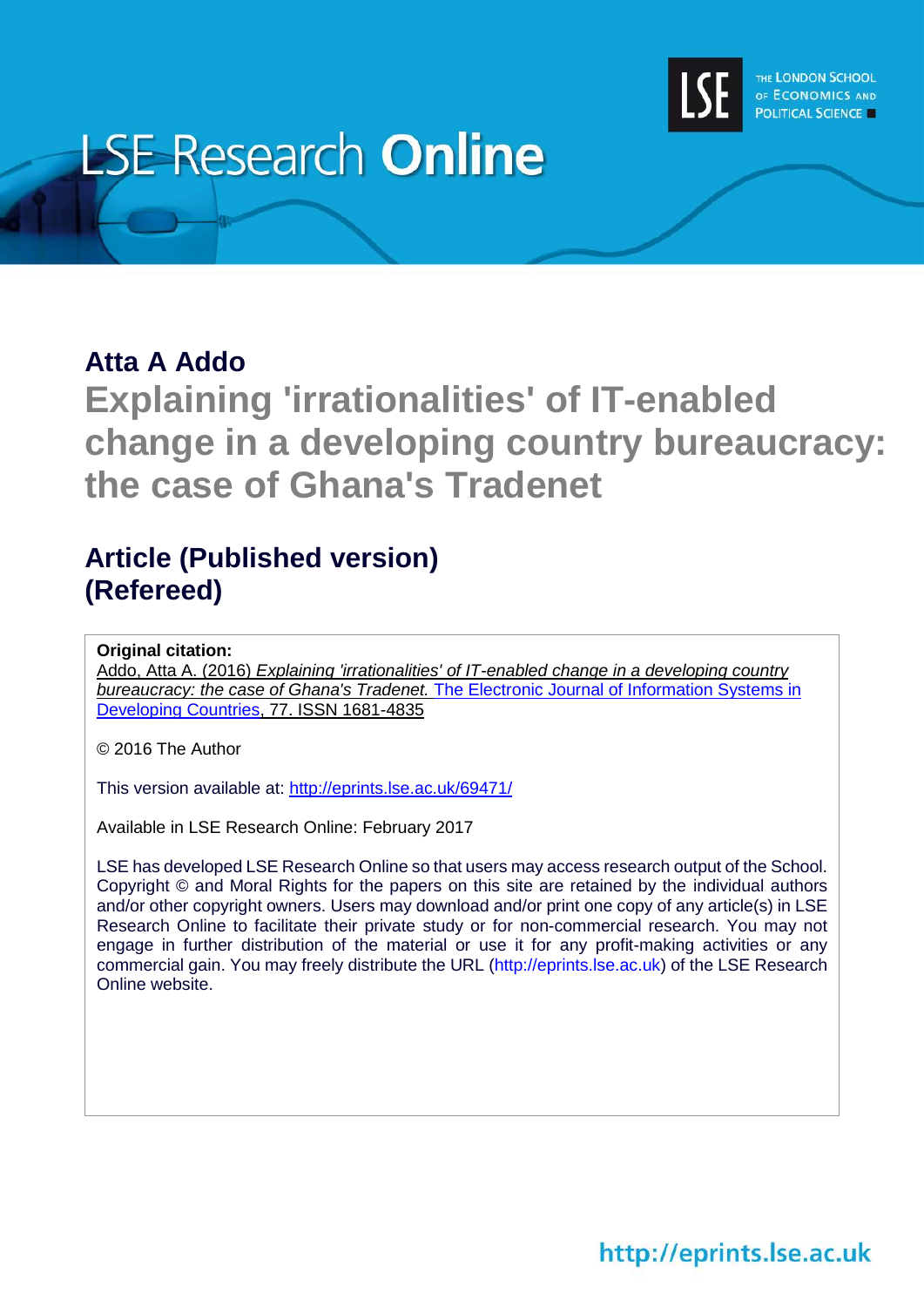

# **LSE Research Online**

# **Atta A Addo**

**Explaining 'irrationalities' of IT-enabled change in a developing country bureaucracy: the case of Ghana's Tradenet**

## **Article (Published version) (Refereed)**

**Original citation:**

Addo, Atta A. (2016) *Explaining 'irrationalities' of IT-enabled change in a developing country bureaucracy: the case of Ghana's Tradenet.* [The Electronic Journal of Information Systems in](http://www.cityu.edu.hk/)  [Developing Countries,](http://www.cityu.edu.hk/) 77. ISSN 1681-4835

© 2016 The Author

This version available at:<http://eprints.lse.ac.uk/69471/>

Available in LSE Research Online: February 2017

LSE has developed LSE Research Online so that users may access research output of the School. Copyright © and Moral Rights for the papers on this site are retained by the individual authors and/or other copyright owners. Users may download and/or print one copy of any article(s) in LSE Research Online to facilitate their private study or for non-commercial research. You may not engage in further distribution of the material or use it for any profit-making activities or any commercial gain. You may freely distribute the URL (http://eprints.lse.ac.uk) of the LSE Research Online website.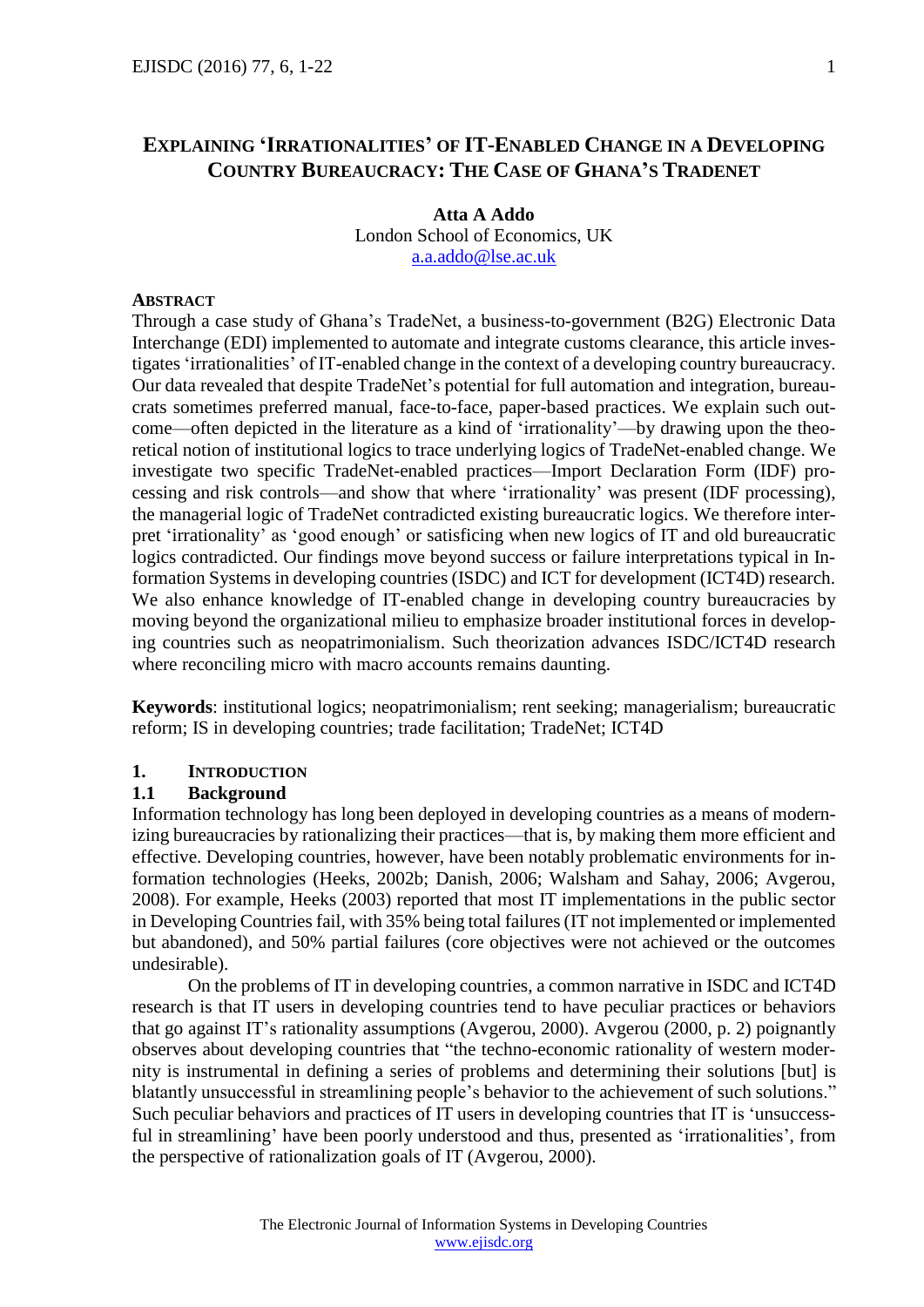## **EXPLAINING 'IRRATIONALITIES' OF IT-ENABLED CHANGE IN A DEVELOPING COUNTRY BUREAUCRACY: THE CASE OF GHANA'S TRADENET**

#### **Atta A Addo** London School of Economics, UK [a.a.addo@lse.ac.uk](mailto:a.a.addo@lse.ac.uk)

#### **ABSTRACT**

Through a case study of Ghana's TradeNet, a business-to-government (B2G) Electronic Data Interchange (EDI) implemented to automate and integrate customs clearance, this article investigates'irrationalities' of IT-enabled change in the context of a developing country bureaucracy. Our data revealed that despite TradeNet's potential for full automation and integration, bureaucrats sometimes preferred manual, face-to-face, paper-based practices. We explain such outcome—often depicted in the literature as a kind of 'irrationality'—by drawing upon the theoretical notion of institutional logics to trace underlying logics of TradeNet-enabled change. We investigate two specific TradeNet-enabled practices—Import Declaration Form (IDF) processing and risk controls—and show that where 'irrationality' was present (IDF processing), the managerial logic of TradeNet contradicted existing bureaucratic logics. We therefore interpret 'irrationality' as 'good enough' or satisficing when new logics of IT and old bureaucratic logics contradicted. Our findings move beyond success or failure interpretations typical in Information Systems in developing countries (ISDC) and ICT for development (ICT4D) research. We also enhance knowledge of IT-enabled change in developing country bureaucracies by moving beyond the organizational milieu to emphasize broader institutional forces in developing countries such as neopatrimonialism. Such theorization advances ISDC/ICT4D research where reconciling micro with macro accounts remains daunting.

**Keywords**: institutional logics; neopatrimonialism; rent seeking; managerialism; bureaucratic reform; IS in developing countries; trade facilitation; TradeNet; ICT4D

#### **1. INTRODUCTION**

#### **1.1 Background**

Information technology has long been deployed in developing countries as a means of modernizing bureaucracies by rationalizing their practices—that is, by making them more efficient and effective. Developing countries, however, have been notably problematic environments for information technologies (Heeks, 2002b; Danish, 2006; Walsham and Sahay, 2006; Avgerou, 2008). For example, Heeks (2003) reported that most IT implementations in the public sector in Developing Countries fail, with 35% being total failures (IT not implemented or implemented but abandoned), and 50% partial failures (core objectives were not achieved or the outcomes undesirable).

On the problems of IT in developing countries, a common narrative in ISDC and ICT4D research is that IT users in developing countries tend to have peculiar practices or behaviors that go against IT's rationality assumptions (Avgerou, 2000). Avgerou (2000, p. 2) poignantly observes about developing countries that "the techno-economic rationality of western modernity is instrumental in defining a series of problems and determining their solutions [but] is blatantly unsuccessful in streamlining people's behavior to the achievement of such solutions." Such peculiar behaviors and practices of IT users in developing countries that IT is 'unsuccessful in streamlining' have been poorly understood and thus, presented as 'irrationalities', from the perspective of rationalization goals of IT (Avgerou, 2000).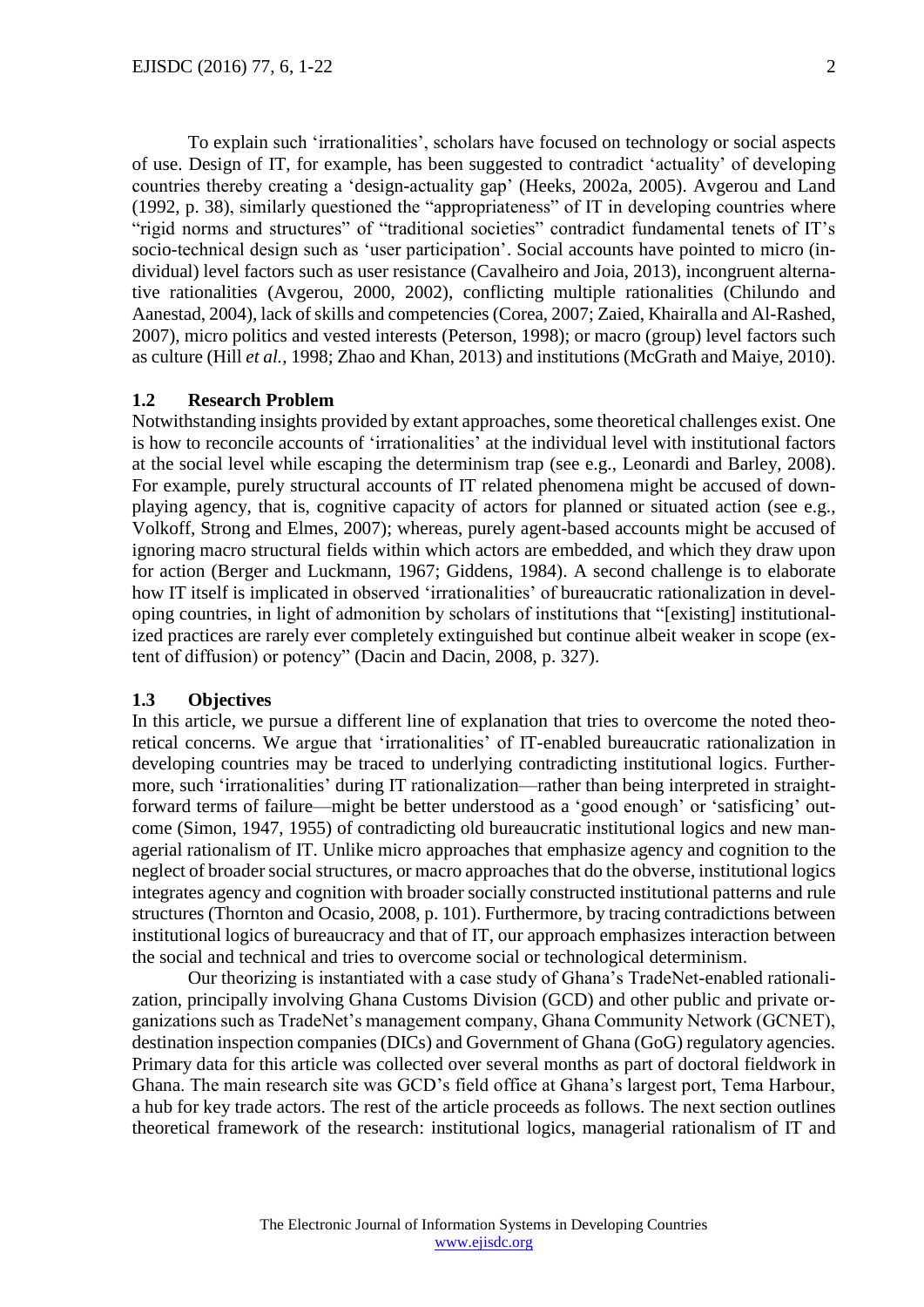To explain such 'irrationalities', scholars have focused on technology or social aspects of use. Design of IT, for example, has been suggested to contradict 'actuality' of developing countries thereby creating a 'design-actuality gap' (Heeks, 2002a, 2005). Avgerou and Land (1992, p. 38), similarly questioned the "appropriateness" of IT in developing countries where "rigid norms and structures" of "traditional societies" contradict fundamental tenets of IT's socio-technical design such as 'user participation'. Social accounts have pointed to micro (individual) level factors such as user resistance (Cavalheiro and Joia, 2013), incongruent alternative rationalities (Avgerou, 2000, 2002), conflicting multiple rationalities (Chilundo and Aanestad, 2004), lack of skills and competencies (Corea, 2007; Zaied, Khairalla and Al-Rashed, 2007), micro politics and vested interests (Peterson, 1998); or macro (group) level factors such as culture (Hill *et al.*, 1998; Zhao and Khan, 2013) and institutions (McGrath and Maiye, 2010).

#### **1.2 Research Problem**

Notwithstanding insights provided by extant approaches, some theoretical challenges exist. One is how to reconcile accounts of 'irrationalities' at the individual level with institutional factors at the social level while escaping the determinism trap (see e.g., Leonardi and Barley, 2008). For example, purely structural accounts of IT related phenomena might be accused of downplaying agency, that is, cognitive capacity of actors for planned or situated action (see e.g., Volkoff, Strong and Elmes, 2007); whereas, purely agent-based accounts might be accused of ignoring macro structural fields within which actors are embedded, and which they draw upon for action (Berger and Luckmann, 1967; Giddens, 1984). A second challenge is to elaborate how IT itself is implicated in observed 'irrationalities' of bureaucratic rationalization in developing countries, in light of admonition by scholars of institutions that "[existing] institutionalized practices are rarely ever completely extinguished but continue albeit weaker in scope (extent of diffusion) or potency" (Dacin and Dacin, 2008, p. 327).

#### **1.3 Objectives**

In this article, we pursue a different line of explanation that tries to overcome the noted theoretical concerns. We argue that 'irrationalities' of IT-enabled bureaucratic rationalization in developing countries may be traced to underlying contradicting institutional logics. Furthermore, such 'irrationalities' during IT rationalization—rather than being interpreted in straightforward terms of failure—might be better understood as a 'good enough' or 'satisficing' outcome (Simon, 1947, 1955) of contradicting old bureaucratic institutional logics and new managerial rationalism of IT. Unlike micro approaches that emphasize agency and cognition to the neglect of broader social structures, or macro approaches that do the obverse, institutional logics integrates agency and cognition with broader socially constructed institutional patterns and rule structures (Thornton and Ocasio, 2008, p. 101). Furthermore, by tracing contradictions between institutional logics of bureaucracy and that of IT, our approach emphasizes interaction between the social and technical and tries to overcome social or technological determinism.

Our theorizing is instantiated with a case study of Ghana's TradeNet-enabled rationalization, principally involving Ghana Customs Division (GCD) and other public and private organizations such as TradeNet's management company, Ghana Community Network (GCNET), destination inspection companies (DICs) and Government of Ghana (GoG) regulatory agencies. Primary data for this article was collected over several months as part of doctoral fieldwork in Ghana. The main research site was GCD's field office at Ghana's largest port, Tema Harbour, a hub for key trade actors. The rest of the article proceeds as follows. The next section outlines theoretical framework of the research: institutional logics, managerial rationalism of IT and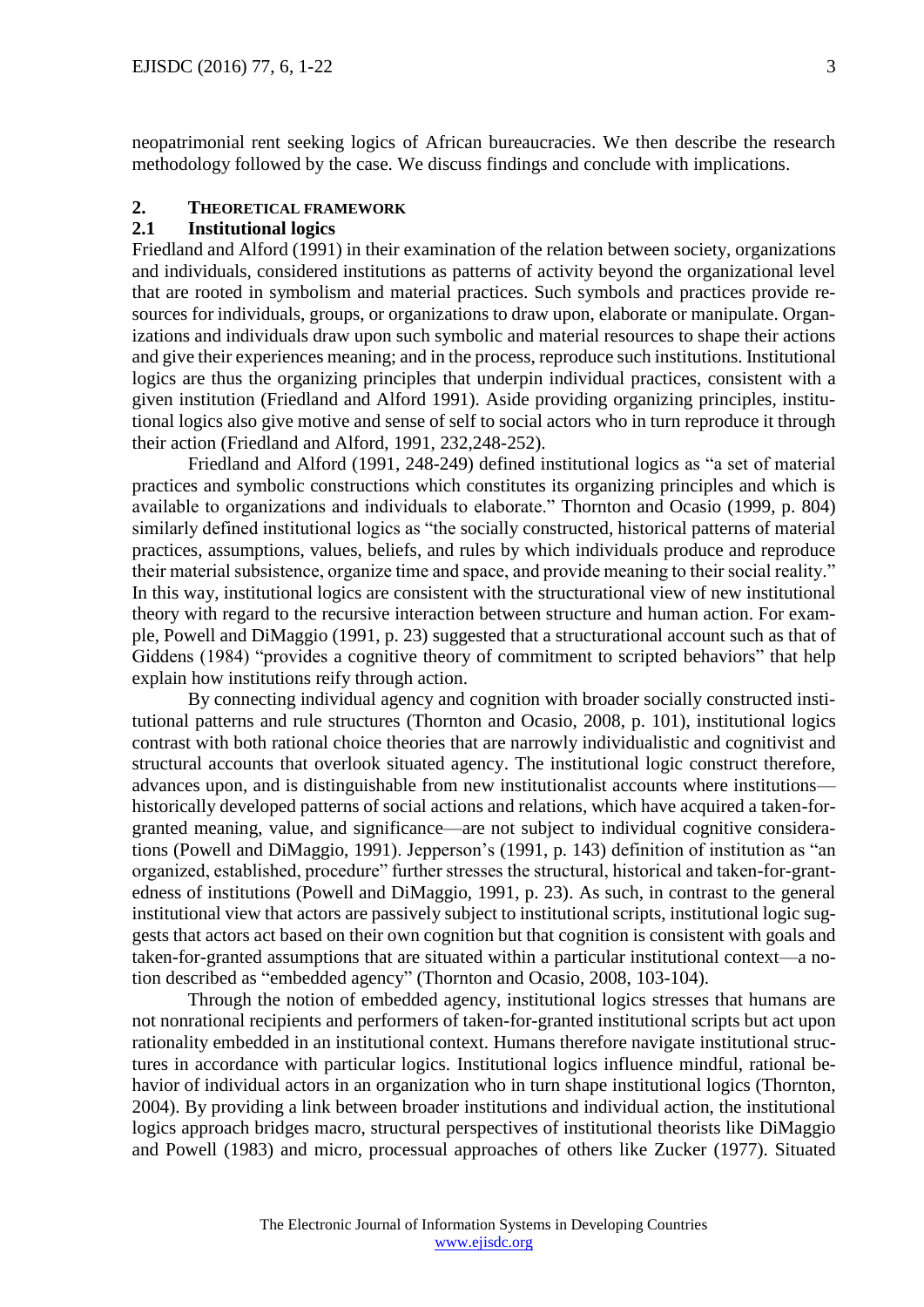neopatrimonial rent seeking logics of African bureaucracies. We then describe the research methodology followed by the case. We discuss findings and conclude with implications.

#### **2. THEORETICAL FRAMEWORK**

#### **2.1 Institutional logics**

Friedland and Alford (1991) in their examination of the relation between society, organizations and individuals, considered institutions as patterns of activity beyond the organizational level that are rooted in symbolism and material practices. Such symbols and practices provide resources for individuals, groups, or organizations to draw upon, elaborate or manipulate. Organizations and individuals draw upon such symbolic and material resources to shape their actions and give their experiences meaning; and in the process, reproduce such institutions. Institutional logics are thus the organizing principles that underpin individual practices, consistent with a given institution (Friedland and Alford 1991). Aside providing organizing principles, institutional logics also give motive and sense of self to social actors who in turn reproduce it through their action (Friedland and Alford, 1991, 232,248-252).

Friedland and Alford (1991, 248-249) defined institutional logics as "a set of material practices and symbolic constructions which constitutes its organizing principles and which is available to organizations and individuals to elaborate." Thornton and Ocasio (1999, p. 804) similarly defined institutional logics as "the socially constructed, historical patterns of material practices, assumptions, values, beliefs, and rules by which individuals produce and reproduce their material subsistence, organize time and space, and provide meaning to their social reality." In this way, institutional logics are consistent with the structurational view of new institutional theory with regard to the recursive interaction between structure and human action. For example, Powell and DiMaggio (1991, p. 23) suggested that a structurational account such as that of Giddens (1984) "provides a cognitive theory of commitment to scripted behaviors" that help explain how institutions reify through action.

By connecting individual agency and cognition with broader socially constructed institutional patterns and rule structures (Thornton and Ocasio, 2008, p. 101), institutional logics contrast with both rational choice theories that are narrowly individualistic and cognitivist and structural accounts that overlook situated agency. The institutional logic construct therefore, advances upon, and is distinguishable from new institutionalist accounts where institutions historically developed patterns of social actions and relations, which have acquired a taken-forgranted meaning, value, and significance—are not subject to individual cognitive considerations (Powell and DiMaggio, 1991). Jepperson's (1991, p. 143) definition of institution as "an organized, established, procedure" further stresses the structural, historical and taken-for-grantedness of institutions (Powell and DiMaggio, 1991, p. 23). As such, in contrast to the general institutional view that actors are passively subject to institutional scripts, institutional logic suggests that actors act based on their own cognition but that cognition is consistent with goals and taken-for-granted assumptions that are situated within a particular institutional context—a notion described as "embedded agency" (Thornton and Ocasio, 2008, 103-104).

Through the notion of embedded agency, institutional logics stresses that humans are not nonrational recipients and performers of taken-for-granted institutional scripts but act upon rationality embedded in an institutional context. Humans therefore navigate institutional structures in accordance with particular logics. Institutional logics influence mindful, rational behavior of individual actors in an organization who in turn shape institutional logics (Thornton, 2004). By providing a link between broader institutions and individual action, the institutional logics approach bridges macro, structural perspectives of institutional theorists like DiMaggio and Powell (1983) and micro, processual approaches of others like Zucker (1977). Situated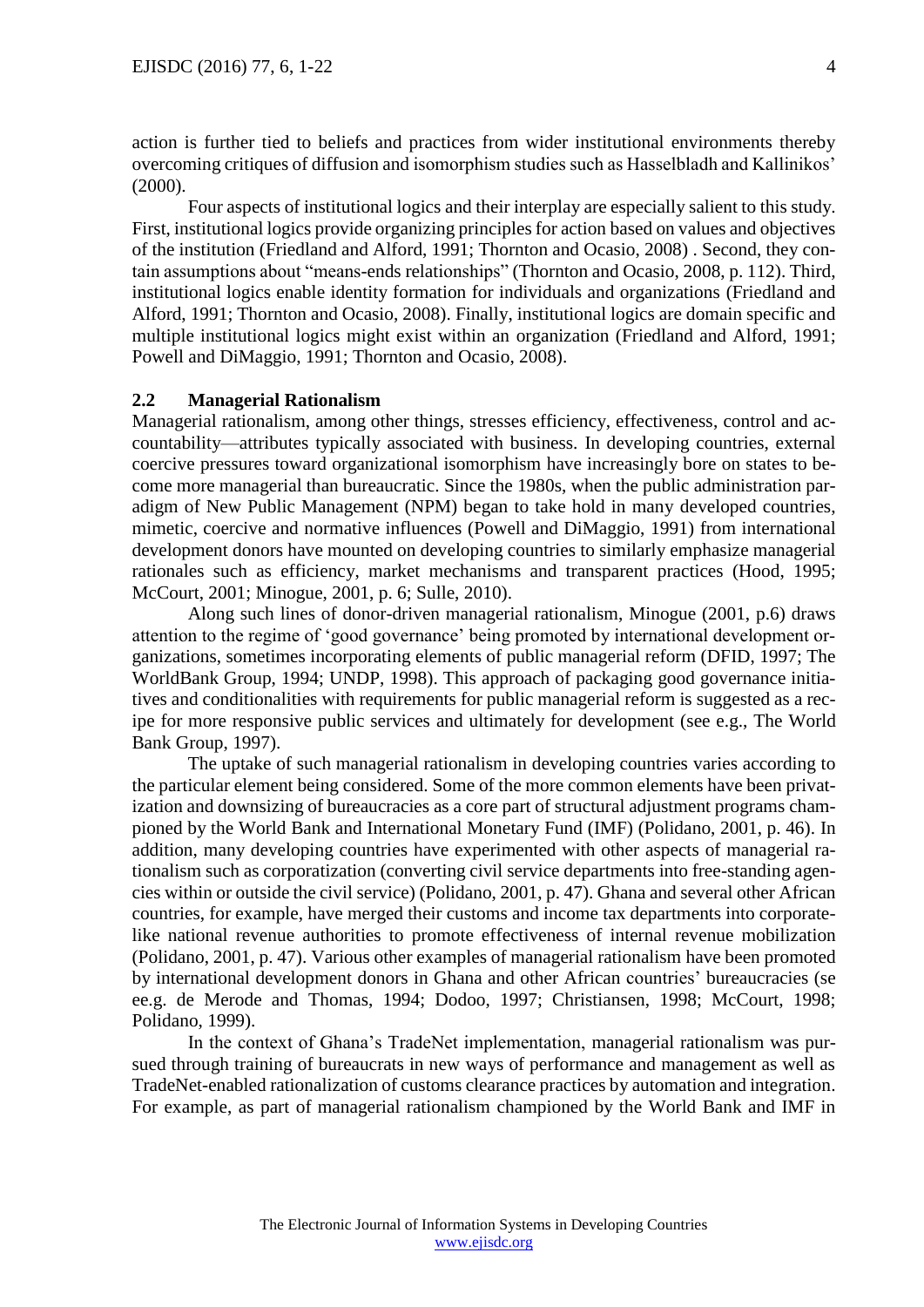action is further tied to beliefs and practices from wider institutional environments thereby overcoming critiques of diffusion and isomorphism studies such as Hasselbladh and Kallinikos' (2000).

Four aspects of institutional logics and their interplay are especially salient to this study. First, institutional logics provide organizing principles for action based on values and objectives of the institution (Friedland and Alford, 1991; Thornton and Ocasio, 2008) . Second, they contain assumptions about "means-ends relationships" (Thornton and Ocasio, 2008, p. 112). Third, institutional logics enable identity formation for individuals and organizations (Friedland and Alford, 1991; Thornton and Ocasio, 2008). Finally, institutional logics are domain specific and multiple institutional logics might exist within an organization (Friedland and Alford, 1991; Powell and DiMaggio, 1991; Thornton and Ocasio, 2008).

#### **2.2 Managerial Rationalism**

Managerial rationalism, among other things, stresses efficiency, effectiveness, control and accountability—attributes typically associated with business. In developing countries, external coercive pressures toward organizational isomorphism have increasingly bore on states to become more managerial than bureaucratic. Since the 1980s, when the public administration paradigm of New Public Management (NPM) began to take hold in many developed countries, mimetic, coercive and normative influences (Powell and DiMaggio, 1991) from international development donors have mounted on developing countries to similarly emphasize managerial rationales such as efficiency, market mechanisms and transparent practices (Hood, 1995; McCourt, 2001; Minogue, 2001, p. 6; Sulle, 2010).

Along such lines of donor-driven managerial rationalism, Minogue (2001, p.6) draws attention to the regime of 'good governance' being promoted by international development organizations, sometimes incorporating elements of public managerial reform (DFID, 1997; The WorldBank Group, 1994; UNDP, 1998). This approach of packaging good governance initiatives and conditionalities with requirements for public managerial reform is suggested as a recipe for more responsive public services and ultimately for development (see e.g., The World Bank Group, 1997).

The uptake of such managerial rationalism in developing countries varies according to the particular element being considered. Some of the more common elements have been privatization and downsizing of bureaucracies as a core part of structural adjustment programs championed by the World Bank and International Monetary Fund (IMF) (Polidano, 2001, p. 46). In addition, many developing countries have experimented with other aspects of managerial rationalism such as corporatization (converting civil service departments into free-standing agencies within or outside the civil service) (Polidano, 2001, p. 47). Ghana and several other African countries, for example, have merged their customs and income tax departments into corporatelike national revenue authorities to promote effectiveness of internal revenue mobilization (Polidano, 2001, p. 47). Various other examples of managerial rationalism have been promoted by international development donors in Ghana and other African countries' bureaucracies (se ee.g. de Merode and Thomas, 1994; Dodoo, 1997; Christiansen, 1998; McCourt, 1998; Polidano, 1999).

In the context of Ghana's TradeNet implementation, managerial rationalism was pursued through training of bureaucrats in new ways of performance and management as well as TradeNet-enabled rationalization of customs clearance practices by automation and integration. For example, as part of managerial rationalism championed by the World Bank and IMF in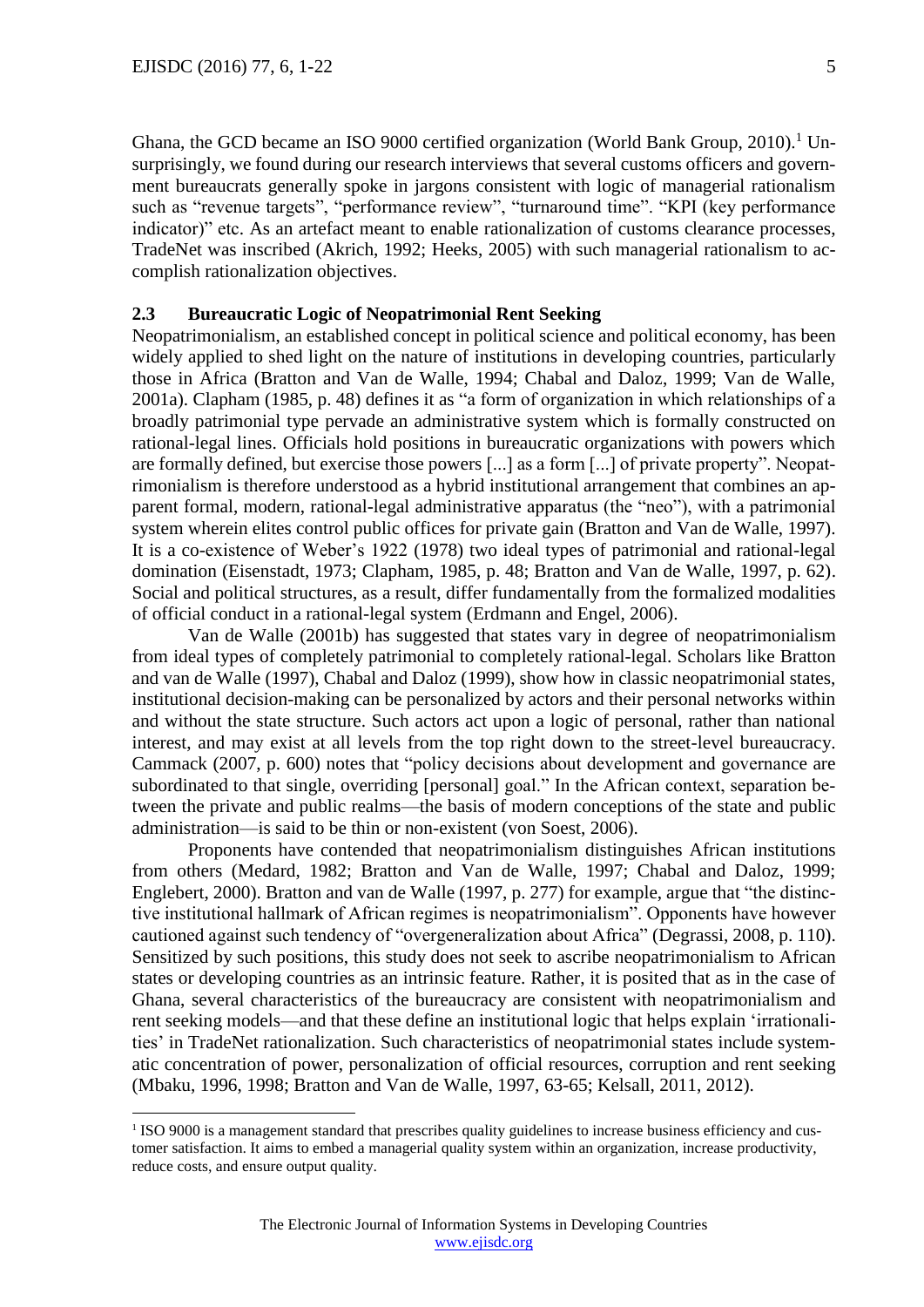1

Ghana, the GCD became an ISO 9000 certified organization (World Bank Group, 2010).<sup>1</sup> Unsurprisingly, we found during our research interviews that several customs officers and government bureaucrats generally spoke in jargons consistent with logic of managerial rationalism such as "revenue targets", "performance review", "turnaround time". "KPI (key performance indicator)" etc. As an artefact meant to enable rationalization of customs clearance processes, TradeNet was inscribed (Akrich, 1992; Heeks, 2005) with such managerial rationalism to accomplish rationalization objectives.

#### **2.3 Bureaucratic Logic of Neopatrimonial Rent Seeking**

Neopatrimonialism, an established concept in political science and political economy, has been widely applied to shed light on the nature of institutions in developing countries, particularly those in Africa (Bratton and Van de Walle, 1994; Chabal and Daloz, 1999; Van de Walle, 2001a). Clapham (1985, p. 48) defines it as "a form of organization in which relationships of a broadly patrimonial type pervade an administrative system which is formally constructed on rational-legal lines. Officials hold positions in bureaucratic organizations with powers which are formally defined, but exercise those powers [...] as a form [...] of private property". Neopatrimonialism is therefore understood as a hybrid institutional arrangement that combines an apparent formal, modern, rational-legal administrative apparatus (the "neo"), with a patrimonial system wherein elites control public offices for private gain (Bratton and Van de Walle, 1997). It is a co-existence of Weber's 1922 (1978) two ideal types of patrimonial and rational-legal domination (Eisenstadt, 1973; Clapham, 1985, p. 48; Bratton and Van de Walle, 1997, p. 62). Social and political structures, as a result, differ fundamentally from the formalized modalities of official conduct in a rational-legal system (Erdmann and Engel, 2006).

Van de Walle (2001b) has suggested that states vary in degree of neopatrimonialism from ideal types of completely patrimonial to completely rational-legal. Scholars like Bratton and van de Walle (1997), Chabal and Daloz (1999), show how in classic neopatrimonial states, institutional decision-making can be personalized by actors and their personal networks within and without the state structure. Such actors act upon a logic of personal, rather than national interest, and may exist at all levels from the top right down to the street-level bureaucracy. Cammack (2007, p. 600) notes that "policy decisions about development and governance are subordinated to that single, overriding [personal] goal." In the African context, separation between the private and public realms—the basis of modern conceptions of the state and public administration—is said to be thin or non-existent (von Soest, 2006).

Proponents have contended that neopatrimonialism distinguishes African institutions from others (Medard, 1982; Bratton and Van de Walle, 1997; Chabal and Daloz, 1999; Englebert, 2000). Bratton and van de Walle (1997, p. 277) for example, argue that "the distinctive institutional hallmark of African regimes is neopatrimonialism". Opponents have however cautioned against such tendency of "overgeneralization about Africa" (Degrassi, 2008, p. 110). Sensitized by such positions, this study does not seek to ascribe neopatrimonialism to African states or developing countries as an intrinsic feature. Rather, it is posited that as in the case of Ghana, several characteristics of the bureaucracy are consistent with neopatrimonialism and rent seeking models—and that these define an institutional logic that helps explain 'irrationalities' in TradeNet rationalization. Such characteristics of neopatrimonial states include systematic concentration of power, personalization of official resources, corruption and rent seeking (Mbaku, 1996, 1998; Bratton and Van de Walle, 1997, 63-65; Kelsall, 2011, 2012).

<sup>&</sup>lt;sup>1</sup> ISO 9000 is a management standard that prescribes quality guidelines to increase business efficiency and customer satisfaction. It aims to embed a managerial quality system within an organization, increase productivity, reduce costs, and ensure output quality.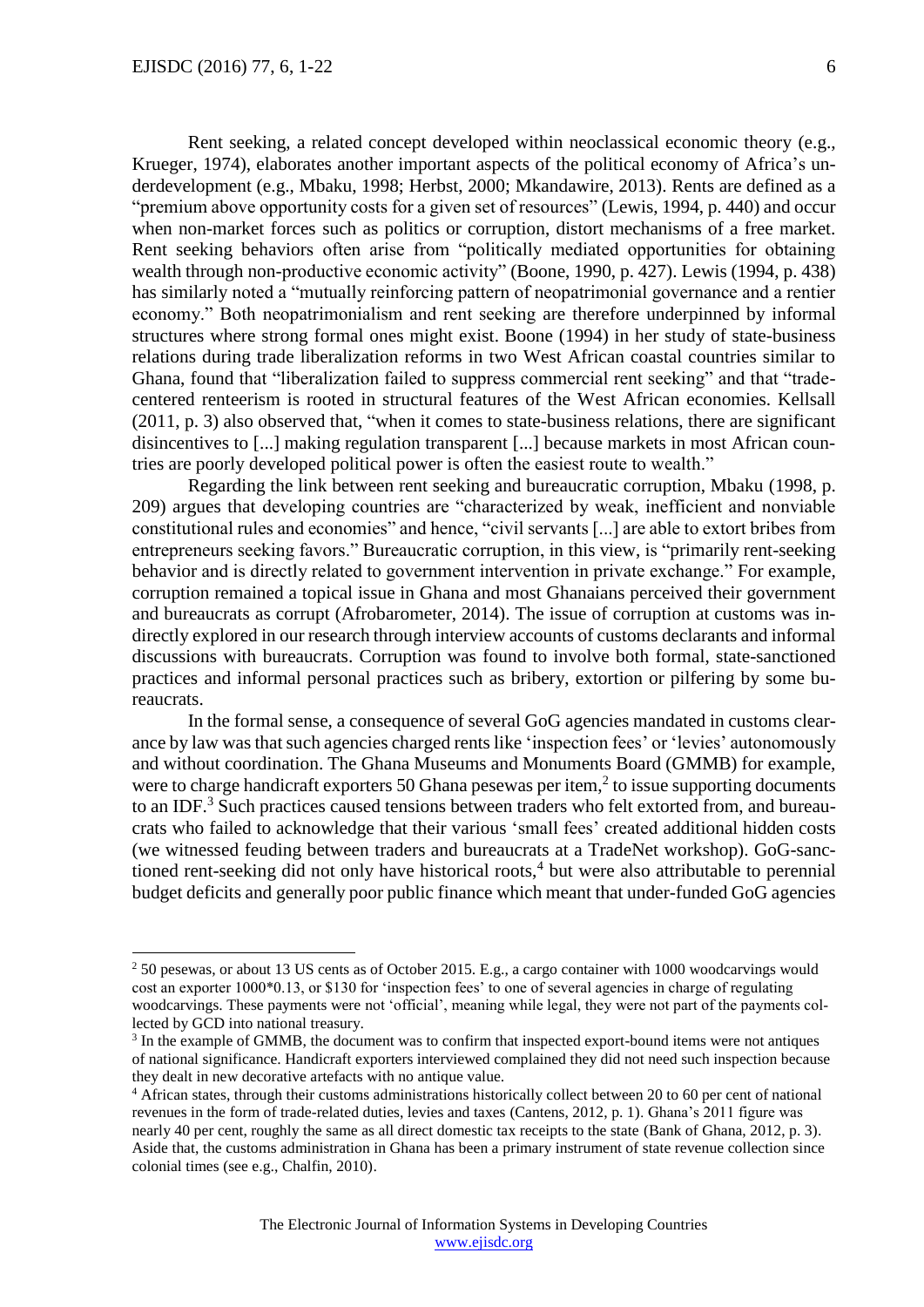1

Rent seeking, a related concept developed within neoclassical economic theory (e.g., Krueger, 1974), elaborates another important aspects of the political economy of Africa's underdevelopment (e.g., Mbaku, 1998; Herbst, 2000; Mkandawire, 2013). Rents are defined as a "premium above opportunity costs for a given set of resources" (Lewis, 1994, p. 440) and occur when non-market forces such as politics or corruption, distort mechanisms of a free market. Rent seeking behaviors often arise from "politically mediated opportunities for obtaining wealth through non-productive economic activity" (Boone, 1990, p. 427). Lewis (1994, p. 438) has similarly noted a "mutually reinforcing pattern of neopatrimonial governance and a rentier economy." Both neopatrimonialism and rent seeking are therefore underpinned by informal structures where strong formal ones might exist. Boone (1994) in her study of state-business

relations during trade liberalization reforms in two West African coastal countries similar to Ghana, found that "liberalization failed to suppress commercial rent seeking" and that "tradecentered renteerism is rooted in structural features of the West African economies. Kellsall (2011, p. 3) also observed that, "when it comes to state-business relations, there are significant disincentives to [...] making regulation transparent [...] because markets in most African countries are poorly developed political power is often the easiest route to wealth."

Regarding the link between rent seeking and bureaucratic corruption, Mbaku (1998, p. 209) argues that developing countries are "characterized by weak, inefficient and nonviable constitutional rules and economies" and hence, "civil servants [...] are able to extort bribes from entrepreneurs seeking favors." Bureaucratic corruption, in this view, is "primarily rent-seeking behavior and is directly related to government intervention in private exchange." For example, corruption remained a topical issue in Ghana and most Ghanaians perceived their government and bureaucrats as corrupt (Afrobarometer, 2014). The issue of corruption at customs was indirectly explored in our research through interview accounts of customs declarants and informal discussions with bureaucrats. Corruption was found to involve both formal, state-sanctioned practices and informal personal practices such as bribery, extortion or pilfering by some bureaucrats.

In the formal sense, a consequence of several GoG agencies mandated in customs clearance by law was that such agencies charged rents like 'inspection fees' or 'levies' autonomously and without coordination. The Ghana Museums and Monuments Board (GMMB) for example, were to charge handicraft exporters 50 Ghana pesewas per item, $2$  to issue supporting documents to an IDF.<sup>3</sup> Such practices caused tensions between traders who felt extorted from, and bureaucrats who failed to acknowledge that their various 'small fees' created additional hidden costs (we witnessed feuding between traders and bureaucrats at a TradeNet workshop). GoG-sanctioned rent-seeking did not only have historical roots,<sup>4</sup> but were also attributable to perennial budget deficits and generally poor public finance which meant that under-funded GoG agencies

<sup>2</sup> 50 pesewas, or about 13 US cents as of October 2015. E.g., a cargo container with 1000 woodcarvings would cost an exporter 1000\*0.13, or \$130 for 'inspection fees' to one of several agencies in charge of regulating woodcarvings. These payments were not 'official', meaning while legal, they were not part of the payments collected by GCD into national treasury.

<sup>&</sup>lt;sup>3</sup> In the example of GMMB, the document was to confirm that inspected export-bound items were not antiques of national significance. Handicraft exporters interviewed complained they did not need such inspection because they dealt in new decorative artefacts with no antique value.

<sup>&</sup>lt;sup>4</sup> African states, through their customs administrations historically collect between 20 to 60 per cent of national revenues in the form of trade-related duties, levies and taxes (Cantens, 2012, p. 1). Ghana's 2011 figure was nearly 40 per cent, roughly the same as all direct domestic tax receipts to the state (Bank of Ghana, 2012, p. 3). Aside that, the customs administration in Ghana has been a primary instrument of state revenue collection since colonial times (see e.g., Chalfin, 2010).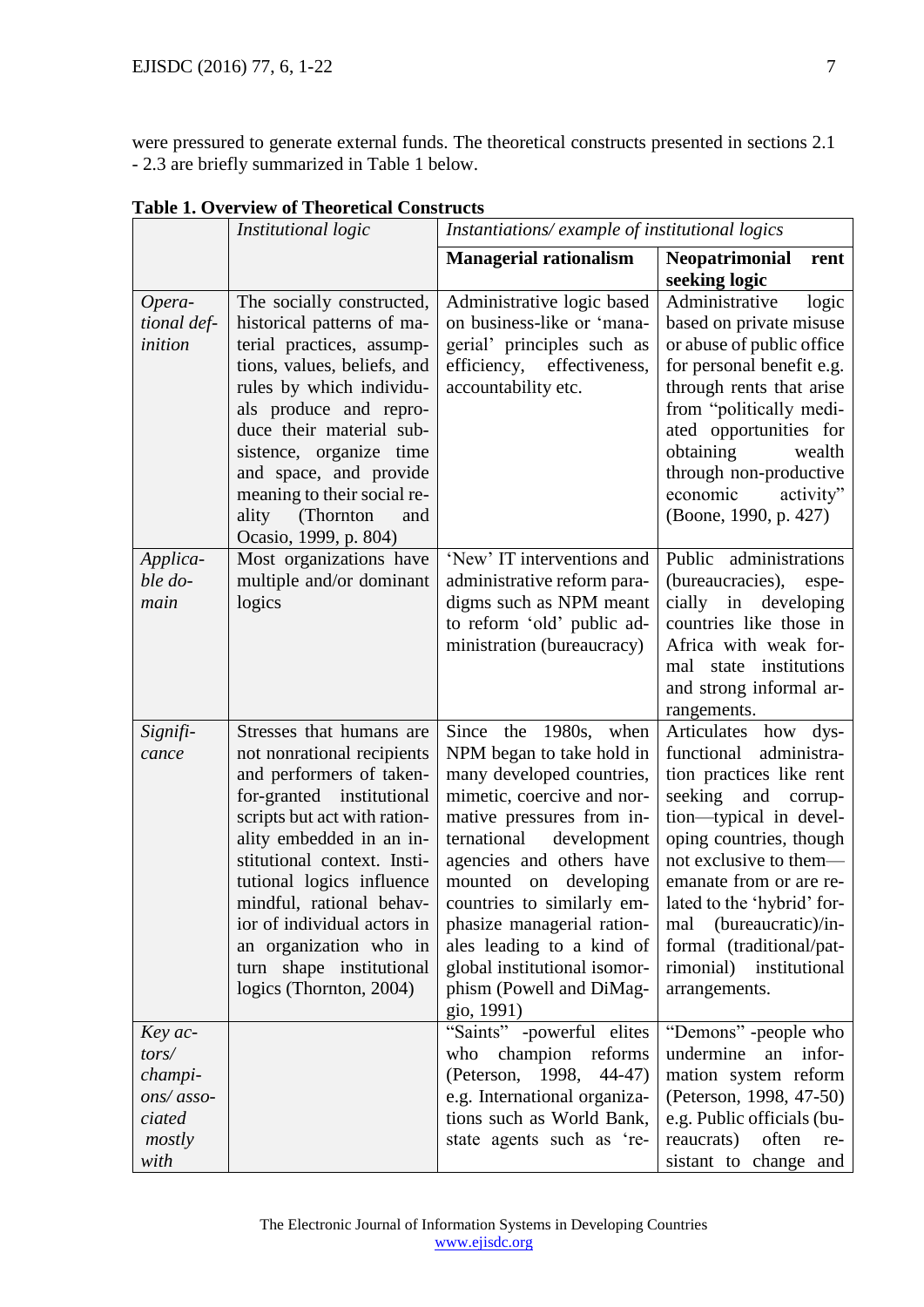were pressured to generate external funds. The theoretical constructs presented in sections 2.1 - 2.3 are briefly summarized in Table 1 below.

|                                                                       | Institutional logic                                                                                                                                                                                                                                                                                                                                                                 | Instantiations/example of institutional logics                                                                                                                                                                                                                                                                                                                                                                            |                                                                                                                                                                                                                                                                                                                                                            |
|-----------------------------------------------------------------------|-------------------------------------------------------------------------------------------------------------------------------------------------------------------------------------------------------------------------------------------------------------------------------------------------------------------------------------------------------------------------------------|---------------------------------------------------------------------------------------------------------------------------------------------------------------------------------------------------------------------------------------------------------------------------------------------------------------------------------------------------------------------------------------------------------------------------|------------------------------------------------------------------------------------------------------------------------------------------------------------------------------------------------------------------------------------------------------------------------------------------------------------------------------------------------------------|
|                                                                       |                                                                                                                                                                                                                                                                                                                                                                                     | <b>Managerial rationalism</b>                                                                                                                                                                                                                                                                                                                                                                                             | Neopatrimonial<br>rent<br>seeking logic                                                                                                                                                                                                                                                                                                                    |
| Opera-<br>tional def-<br>inition                                      | The socially constructed,<br>historical patterns of ma-<br>terial practices, assump-<br>tions, values, beliefs, and<br>rules by which individu-<br>als produce and repro-<br>duce their material sub-<br>sistence, organize time<br>and space, and provide<br>meaning to their social re-<br>ality<br>(Thornton)<br>and<br>Ocasio, 1999, p. 804)                                    | Administrative logic based<br>on business-like or 'mana-<br>gerial' principles such as<br>efficiency,<br>effectiveness,<br>accountability etc.                                                                                                                                                                                                                                                                            | Administrative<br>logic<br>based on private misuse<br>or abuse of public office<br>for personal benefit e.g.<br>through rents that arise<br>from "politically medi-<br>ated opportunities for<br>obtaining<br>wealth<br>through non-productive<br>economic<br>activity"<br>(Boone, 1990, p. 427)                                                           |
| Applica-<br>ble do-<br>main                                           | Most organizations have<br>multiple and/or dominant<br>logics                                                                                                                                                                                                                                                                                                                       | 'New' IT interventions and<br>administrative reform para-<br>digms such as NPM meant<br>to reform 'old' public ad-<br>ministration (bureaucracy)                                                                                                                                                                                                                                                                          | Public administrations<br>(bureaucracies),<br>espe-<br>cially in developing<br>countries like those in<br>Africa with weak for-<br>institutions<br>mal<br>state<br>and strong informal ar-<br>rangements.                                                                                                                                                  |
| Signifi-<br>cance                                                     | Stresses that humans are<br>not nonrational recipients<br>and performers of taken-<br>for-granted institutional<br>scripts but act with ration-<br>ality embedded in an in-<br>stitutional context. Insti-<br>tutional logics influence<br>mindful, rational behav-<br>ior of individual actors in<br>an organization who in<br>turn shape institutional<br>logics (Thornton, 2004) | Since<br>the<br>1980s,<br>when<br>NPM began to take hold in<br>many developed countries,<br>mimetic, coercive and nor-<br>mative pressures from in-<br>ternational<br>development<br>agencies and others have<br>mounted<br>developing<br>$\,$ on $\,$<br>countries to similarly em-<br>phasize managerial ration-<br>ales leading to a kind of<br>global institutional isomor-<br>phism (Powell and DiMag-<br>gio, 1991) | Articulates how dys-<br>functional<br>administra-<br>tion practices like rent<br>seeking<br>and<br>corrup-<br>tion-typical in devel-<br>oping countries, though<br>not exclusive to them-<br>emanate from or are re-<br>lated to the 'hybrid' for-<br>(bureaucratic)/in-<br>mal<br>formal (traditional/pat-<br>rimonial)<br>institutional<br>arrangements. |
| Key ac-<br>tors/<br>champi-<br>ons/ asso-<br>ciated<br>mostly<br>with |                                                                                                                                                                                                                                                                                                                                                                                     | "Saints" -powerful elites<br>champion<br>reforms<br>who<br>1998,<br>(Peterson,<br>$44-47$<br>e.g. International organiza-<br>tions such as World Bank,<br>state agents such as 're-                                                                                                                                                                                                                                       | "Demons" -people who<br>undermine<br>infor-<br>an<br>mation system reform<br>(Peterson, 1998, 47-50)<br>e.g. Public officials (bu-<br>often<br>reaucrats)<br>re-<br>sistant to change and                                                                                                                                                                  |

**Table 1. Overview of Theoretical Constructs**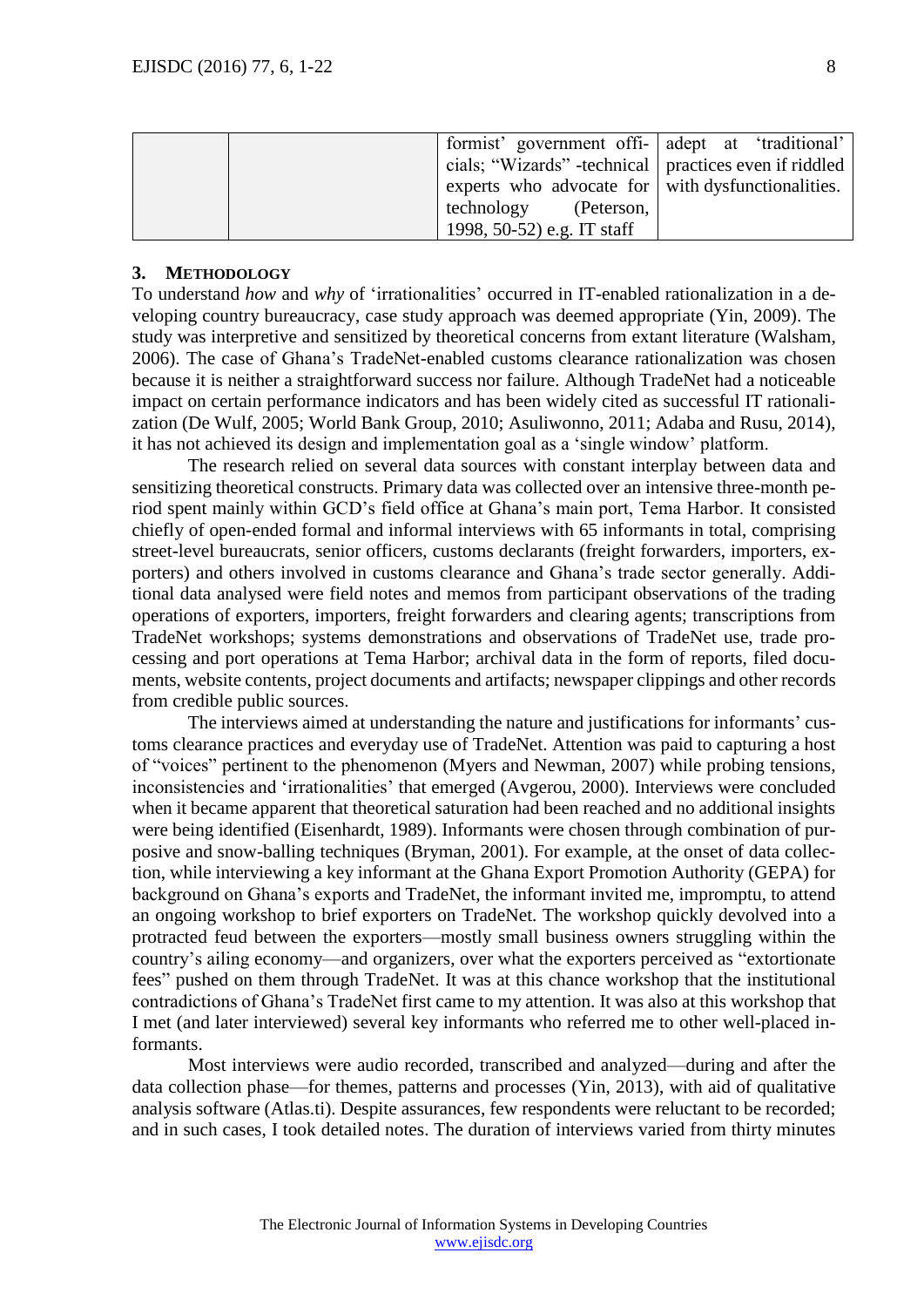|  | formist' government offi- adept at 'traditional'<br>cials; "Wizards" -technical   practices even if riddled<br>experts who advocate for with dysfunctionalities.<br>technology (Peterson,<br>1998, 50-52) e.g. IT staff |  |
|--|-------------------------------------------------------------------------------------------------------------------------------------------------------------------------------------------------------------------------|--|
|--|-------------------------------------------------------------------------------------------------------------------------------------------------------------------------------------------------------------------------|--|

#### **3. METHODOLOGY**

To understand *how* and *why* of 'irrationalities' occurred in IT-enabled rationalization in a developing country bureaucracy, case study approach was deemed appropriate (Yin, 2009). The study was interpretive and sensitized by theoretical concerns from extant literature (Walsham, 2006). The case of Ghana's TradeNet-enabled customs clearance rationalization was chosen because it is neither a straightforward success nor failure. Although TradeNet had a noticeable impact on certain performance indicators and has been widely cited as successful IT rationalization (De Wulf, 2005; World Bank Group, 2010; Asuliwonno, 2011; Adaba and Rusu, 2014), it has not achieved its design and implementation goal as a 'single window' platform.

The research relied on several data sources with constant interplay between data and sensitizing theoretical constructs. Primary data was collected over an intensive three-month period spent mainly within GCD's field office at Ghana's main port, Tema Harbor. It consisted chiefly of open-ended formal and informal interviews with 65 informants in total, comprising street-level bureaucrats, senior officers, customs declarants (freight forwarders, importers, exporters) and others involved in customs clearance and Ghana's trade sector generally. Additional data analysed were field notes and memos from participant observations of the trading operations of exporters, importers, freight forwarders and clearing agents; transcriptions from TradeNet workshops; systems demonstrations and observations of TradeNet use, trade processing and port operations at Tema Harbor; archival data in the form of reports, filed documents, website contents, project documents and artifacts; newspaper clippings and other records from credible public sources.

The interviews aimed at understanding the nature and justifications for informants' customs clearance practices and everyday use of TradeNet. Attention was paid to capturing a host of "voices" pertinent to the phenomenon (Myers and Newman, 2007) while probing tensions, inconsistencies and 'irrationalities' that emerged (Avgerou, 2000). Interviews were concluded when it became apparent that theoretical saturation had been reached and no additional insights were being identified (Eisenhardt, 1989). Informants were chosen through combination of purposive and snow-balling techniques (Bryman, 2001). For example, at the onset of data collection, while interviewing a key informant at the Ghana Export Promotion Authority (GEPA) for background on Ghana's exports and TradeNet, the informant invited me, impromptu, to attend an ongoing workshop to brief exporters on TradeNet. The workshop quickly devolved into a protracted feud between the exporters—mostly small business owners struggling within the country's ailing economy—and organizers, over what the exporters perceived as "extortionate fees" pushed on them through TradeNet. It was at this chance workshop that the institutional contradictions of Ghana's TradeNet first came to my attention. It was also at this workshop that I met (and later interviewed) several key informants who referred me to other well-placed informants.

Most interviews were audio recorded, transcribed and analyzed—during and after the data collection phase—for themes, patterns and processes (Yin, 2013), with aid of qualitative analysis software (Atlas.ti). Despite assurances, few respondents were reluctant to be recorded; and in such cases, I took detailed notes. The duration of interviews varied from thirty minutes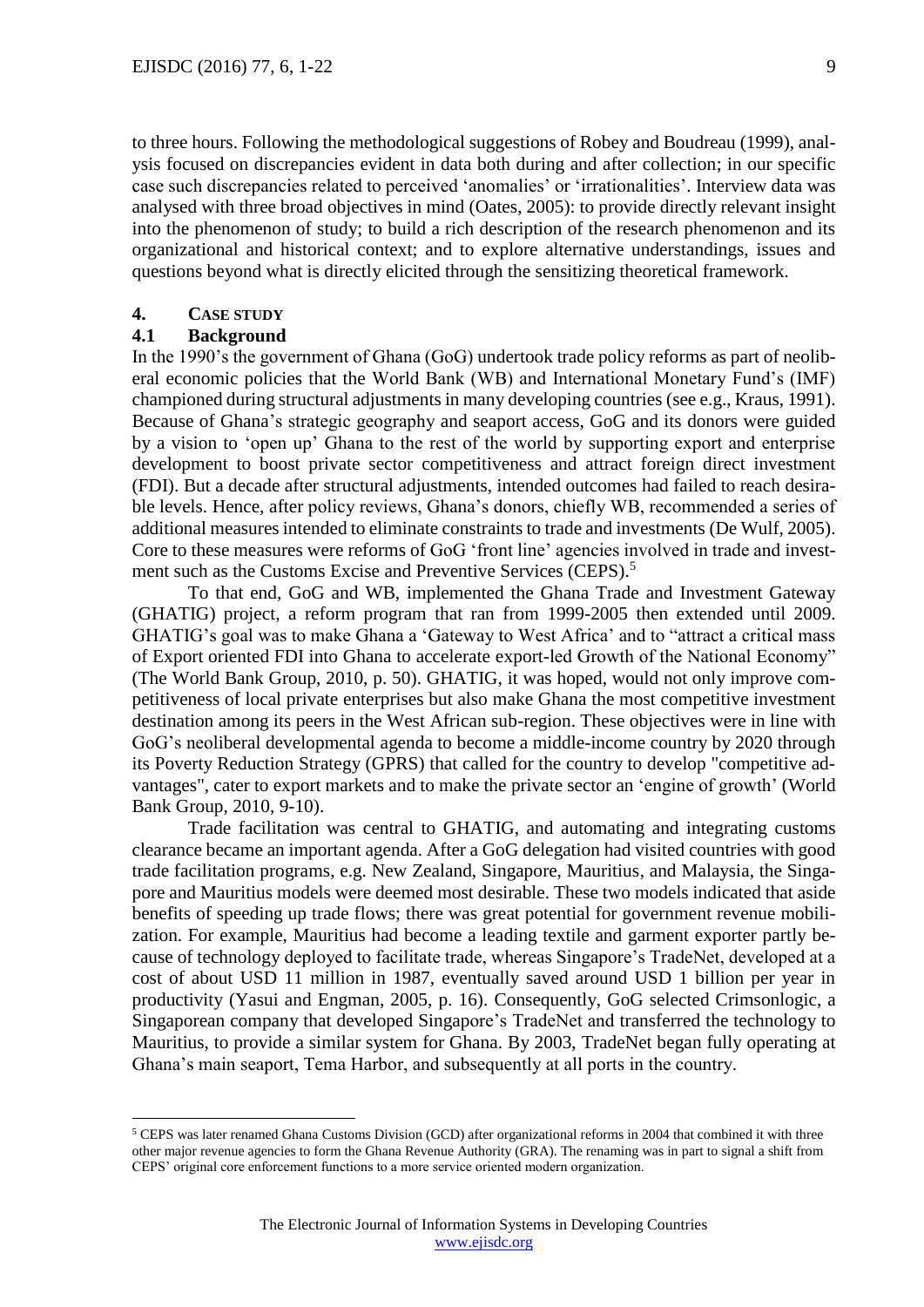to three hours. Following the methodological suggestions of Robey and Boudreau (1999), analysis focused on discrepancies evident in data both during and after collection; in our specific case such discrepancies related to perceived 'anomalies' or 'irrationalities'. Interview data was analysed with three broad objectives in mind (Oates, 2005): to provide directly relevant insight into the phenomenon of study; to build a rich description of the research phenomenon and its organizational and historical context; and to explore alternative understandings, issues and questions beyond what is directly elicited through the sensitizing theoretical framework.

#### **4. CASE STUDY**

#### **4.1 Background**

-

In the 1990's the government of Ghana (GoG) undertook trade policy reforms as part of neoliberal economic policies that the World Bank (WB) and International Monetary Fund's (IMF) championed during structural adjustments in many developing countries (see e.g., Kraus, 1991). Because of Ghana's strategic geography and seaport access, GoG and its donors were guided by a vision to 'open up' Ghana to the rest of the world by supporting export and enterprise development to boost private sector competitiveness and attract foreign direct investment (FDI). But a decade after structural adjustments, intended outcomes had failed to reach desirable levels. Hence, after policy reviews, Ghana's donors, chiefly WB, recommended a series of additional measures intended to eliminate constraints to trade and investments (De Wulf, 2005). Core to these measures were reforms of GoG 'front line' agencies involved in trade and investment such as the Customs Excise and Preventive Services (CEPS). 5

To that end, GoG and WB, implemented the Ghana Trade and Investment Gateway (GHATIG) project, a reform program that ran from 1999-2005 then extended until 2009. GHATIG's goal was to make Ghana a 'Gateway to West Africa' and to "attract a critical mass of Export oriented FDI into Ghana to accelerate export-led Growth of the National Economy" (The World Bank Group, 2010, p. 50). GHATIG, it was hoped, would not only improve competitiveness of local private enterprises but also make Ghana the most competitive investment destination among its peers in the West African sub-region. These objectives were in line with GoG's neoliberal developmental agenda to become a middle-income country by 2020 through its Poverty Reduction Strategy (GPRS) that called for the country to develop "competitive advantages", cater to export markets and to make the private sector an 'engine of growth' (World Bank Group, 2010, 9-10).

Trade facilitation was central to GHATIG, and automating and integrating customs clearance became an important agenda. After a GoG delegation had visited countries with good trade facilitation programs, e.g. New Zealand, Singapore, Mauritius, and Malaysia, the Singapore and Mauritius models were deemed most desirable. These two models indicated that aside benefits of speeding up trade flows; there was great potential for government revenue mobilization. For example, Mauritius had become a leading textile and garment exporter partly because of technology deployed to facilitate trade, whereas Singapore's TradeNet, developed at a cost of about USD 11 million in 1987, eventually saved around USD 1 billion per year in productivity (Yasui and Engman, 2005, p. 16). Consequently, GoG selected Crimsonlogic, a Singaporean company that developed Singapore's TradeNet and transferred the technology to Mauritius, to provide a similar system for Ghana. By 2003, TradeNet began fully operating at Ghana's main seaport, Tema Harbor, and subsequently at all ports in the country.

<sup>5</sup> CEPS was later renamed Ghana Customs Division (GCD) after organizational reforms in 2004 that combined it with three other major revenue agencies to form the Ghana Revenue Authority (GRA). The renaming was in part to signal a shift from CEPS' original core enforcement functions to a more service oriented modern organization.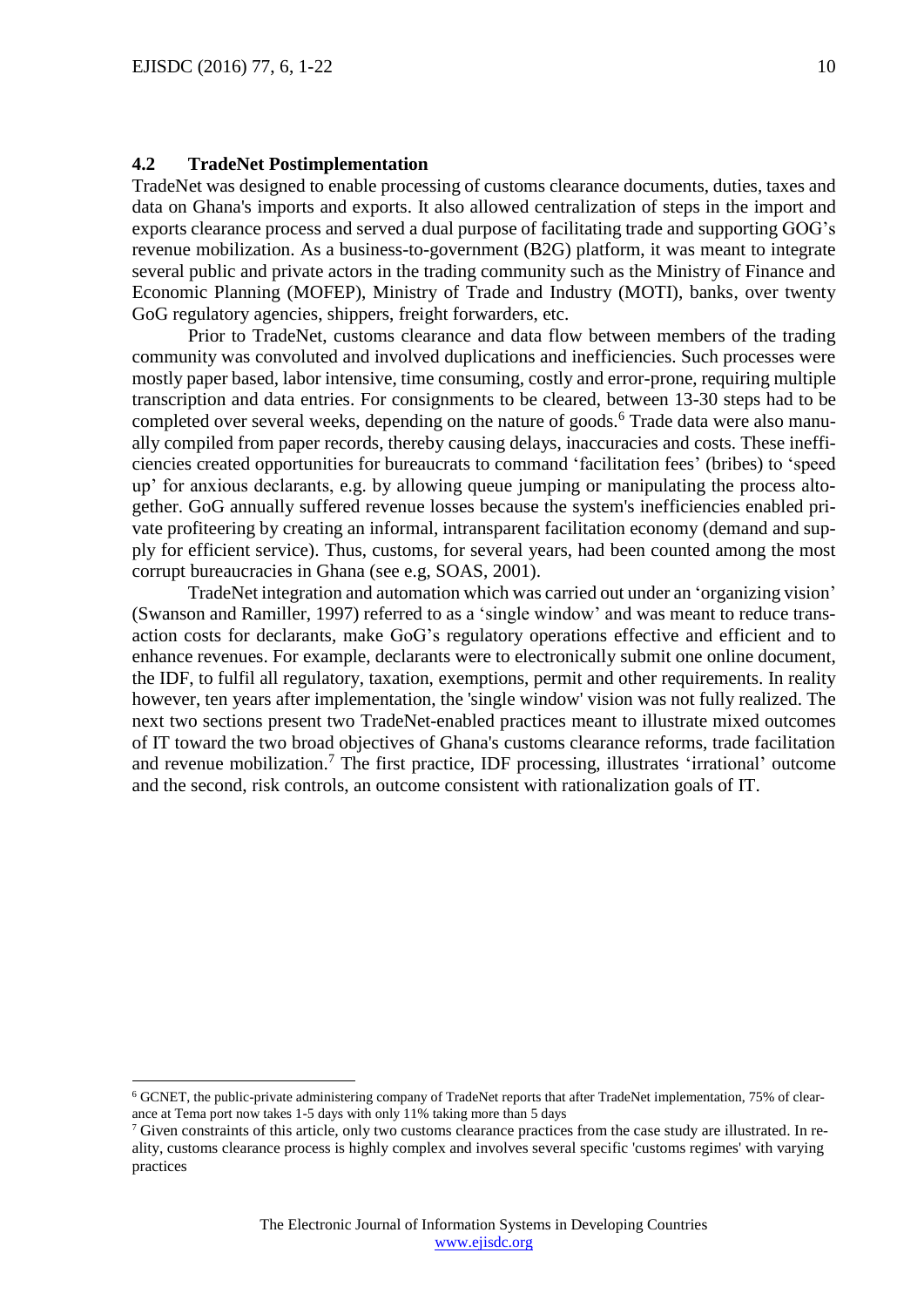1

#### **4.2 TradeNet Postimplementation**

TradeNet was designed to enable processing of customs clearance documents, duties, taxes and data on Ghana's imports and exports. It also allowed centralization of steps in the import and exports clearance process and served a dual purpose of facilitating trade and supporting GOG's revenue mobilization. As a business-to-government (B2G) platform, it was meant to integrate several public and private actors in the trading community such as the Ministry of Finance and Economic Planning (MOFEP), Ministry of Trade and Industry (MOTI), banks, over twenty GoG regulatory agencies, shippers, freight forwarders, etc.

Prior to TradeNet, customs clearance and data flow between members of the trading community was convoluted and involved duplications and inefficiencies. Such processes were mostly paper based, labor intensive, time consuming, costly and error-prone, requiring multiple transcription and data entries. For consignments to be cleared, between 13-30 steps had to be completed over several weeks, depending on the nature of goods.<sup>6</sup> Trade data were also manually compiled from paper records, thereby causing delays, inaccuracies and costs. These inefficiencies created opportunities for bureaucrats to command 'facilitation fees' (bribes) to 'speed up' for anxious declarants, e.g. by allowing queue jumping or manipulating the process altogether. GoG annually suffered revenue losses because the system's inefficiencies enabled private profiteering by creating an informal, intransparent facilitation economy (demand and supply for efficient service). Thus, customs, for several years, had been counted among the most corrupt bureaucracies in Ghana (see e.g, SOAS, 2001).

TradeNet integration and automation which was carried out under an 'organizing vision' (Swanson and Ramiller, 1997) referred to as a 'single window' and was meant to reduce transaction costs for declarants, make GoG's regulatory operations effective and efficient and to enhance revenues. For example, declarants were to electronically submit one online document, the IDF, to fulfil all regulatory, taxation, exemptions, permit and other requirements. In reality however, ten years after implementation, the 'single window' vision was not fully realized. The next two sections present two TradeNet-enabled practices meant to illustrate mixed outcomes of IT toward the two broad objectives of Ghana's customs clearance reforms, trade facilitation and revenue mobilization.<sup>7</sup> The first practice, IDF processing, illustrates 'irrational' outcome and the second, risk controls, an outcome consistent with rationalization goals of IT.

<sup>6</sup> GCNET, the public-private administering company of TradeNet reports that after TradeNet implementation, 75% of clearance at Tema port now takes 1-5 days with only 11% taking more than 5 days

<sup>7</sup> Given constraints of this article, only two customs clearance practices from the case study are illustrated. In reality, customs clearance process is highly complex and involves several specific 'customs regimes' with varying practices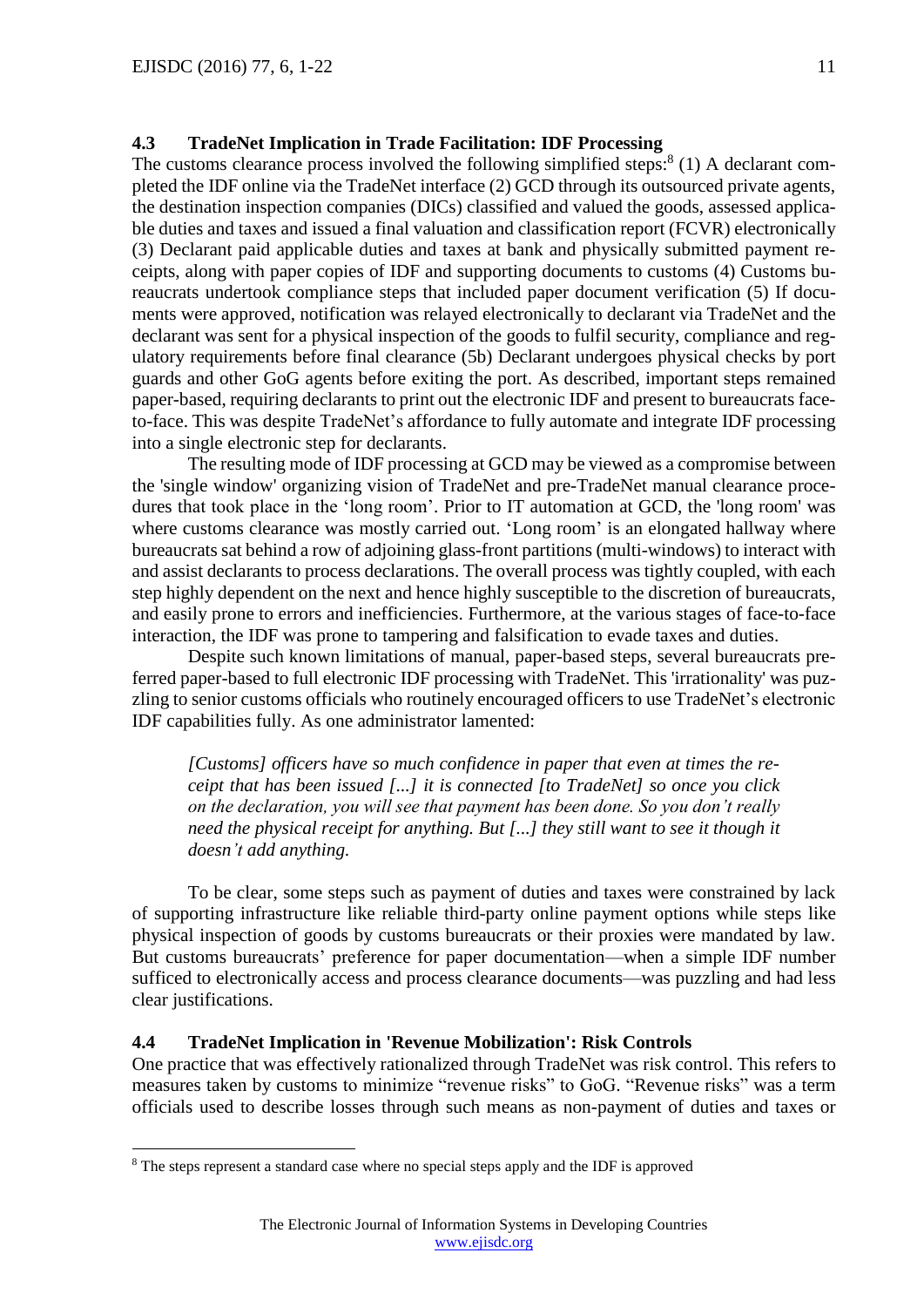#### **4.3 TradeNet Implication in Trade Facilitation: IDF Processing**

The customs clearance process involved the following simplified steps: $8(1)$  A declarant completed the IDF online via the TradeNet interface (2) GCD through its outsourced private agents, the destination inspection companies (DICs) classified and valued the goods, assessed applicable duties and taxes and issued a final valuation and classification report (FCVR) electronically (3) Declarant paid applicable duties and taxes at bank and physically submitted payment receipts, along with paper copies of IDF and supporting documents to customs (4) Customs bureaucrats undertook compliance steps that included paper document verification (5) If documents were approved, notification was relayed electronically to declarant via TradeNet and the declarant was sent for a physical inspection of the goods to fulfil security, compliance and regulatory requirements before final clearance (5b) Declarant undergoes physical checks by port guards and other GoG agents before exiting the port. As described, important steps remained paper-based, requiring declarants to print out the electronic IDF and present to bureaucrats faceto-face. This was despite TradeNet's affordance to fully automate and integrate IDF processing into a single electronic step for declarants.

The resulting mode of IDF processing at GCD may be viewed as a compromise between the 'single window' organizing vision of TradeNet and pre-TradeNet manual clearance procedures that took place in the 'long room'. Prior to IT automation at GCD, the 'long room' was where customs clearance was mostly carried out. 'Long room' is an elongated hallway where bureaucrats sat behind a row of adjoining glass-front partitions (multi-windows) to interact with and assist declarants to process declarations. The overall process was tightly coupled, with each step highly dependent on the next and hence highly susceptible to the discretion of bureaucrats, and easily prone to errors and inefficiencies. Furthermore, at the various stages of face-to-face interaction, the IDF was prone to tampering and falsification to evade taxes and duties.

Despite such known limitations of manual, paper-based steps, several bureaucrats preferred paper-based to full electronic IDF processing with TradeNet. This 'irrationality' was puzzling to senior customs officials who routinely encouraged officers to use TradeNet's electronic IDF capabilities fully. As one administrator lamented:

*[Customs] officers have so much confidence in paper that even at times the receipt that has been issued [...] it is connected [to TradeNet] so once you click on the declaration, you will see that payment has been done. So you don't really need the physical receipt for anything. But [...] they still want to see it though it doesn't add anything.*

To be clear, some steps such as payment of duties and taxes were constrained by lack of supporting infrastructure like reliable third-party online payment options while steps like physical inspection of goods by customs bureaucrats or their proxies were mandated by law. But customs bureaucrats' preference for paper documentation—when a simple IDF number sufficed to electronically access and process clearance documents—was puzzling and had less clear justifications.

#### **4.4 TradeNet Implication in 'Revenue Mobilization': Risk Controls**

One practice that was effectively rationalized through TradeNet was risk control. This refers to measures taken by customs to minimize "revenue risks" to GoG. "Revenue risks" was a term officials used to describe losses through such means as non-payment of duties and taxes or

-

<sup>&</sup>lt;sup>8</sup> The steps represent a standard case where no special steps apply and the IDF is approved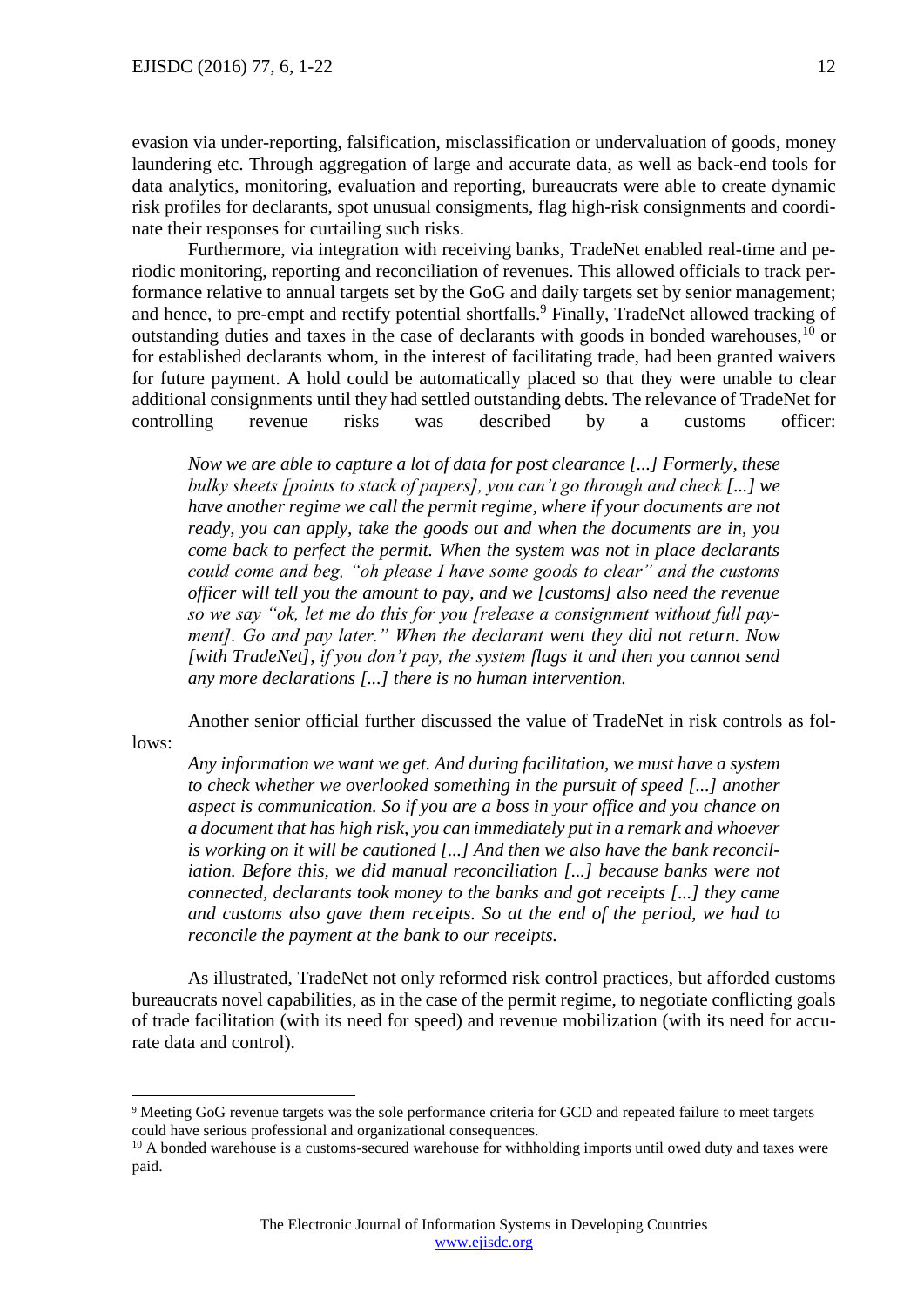evasion via under-reporting, falsification, misclassification or undervaluation of goods, money laundering etc. Through aggregation of large and accurate data, as well as back-end tools for data analytics, monitoring, evaluation and reporting, bureaucrats were able to create dynamic risk profiles for declarants, spot unusual consigments, flag high-risk consignments and coordinate their responses for curtailing such risks.

Furthermore, via integration with receiving banks, TradeNet enabled real-time and periodic monitoring, reporting and reconciliation of revenues. This allowed officials to track performance relative to annual targets set by the GoG and daily targets set by senior management; and hence, to pre-empt and rectify potential shortfalls.<sup>9</sup> Finally, TradeNet allowed tracking of outstanding duties and taxes in the case of declarants with goods in bonded warehouses,  $^{10}$  or for established declarants whom, in the interest of facilitating trade, had been granted waivers for future payment. A hold could be automatically placed so that they were unable to clear additional consignments until they had settled outstanding debts. The relevance of TradeNet for controlling revenue risks was described by a customs officer:

*Now we are able to capture a lot of data for post clearance [...] Formerly, these bulky sheets [points to stack of papers], you can't go through and check [...] we have another regime we call the permit regime, where if your documents are not ready, you can apply, take the goods out and when the documents are in, you come back to perfect the permit. When the system was not in place declarants could come and beg, "oh please I have some goods to clear" and the customs officer will tell you the amount to pay, and we [customs] also need the revenue so we say "ok, let me do this for you [release a consignment without full payment]. Go and pay later." When the declarant went they did not return. Now [with TradeNet], if you don't pay, the system flags it and then you cannot send any more declarations [...] there is no human intervention.* 

Another senior official further discussed the value of TradeNet in risk controls as follows:

-

*Any information we want we get. And during facilitation, we must have a system to check whether we overlooked something in the pursuit of speed [...] another aspect is communication. So if you are a boss in your office and you chance on a document that has high risk, you can immediately put in a remark and whoever is working on it will be cautioned [...] And then we also have the bank reconciliation. Before this, we did manual reconciliation [...] because banks were not connected, declarants took money to the banks and got receipts [...] they came and customs also gave them receipts. So at the end of the period, we had to reconcile the payment at the bank to our receipts.*

As illustrated, TradeNet not only reformed risk control practices, but afforded customs bureaucrats novel capabilities, as in the case of the permit regime, to negotiate conflicting goals of trade facilitation (with its need for speed) and revenue mobilization (with its need for accurate data and control).

<sup>9</sup> Meeting GoG revenue targets was the sole performance criteria for GCD and repeated failure to meet targets could have serious professional and organizational consequences.

<sup>&</sup>lt;sup>10</sup> A bonded warehouse is a customs-secured warehouse for withholding imports until owed duty and taxes were paid.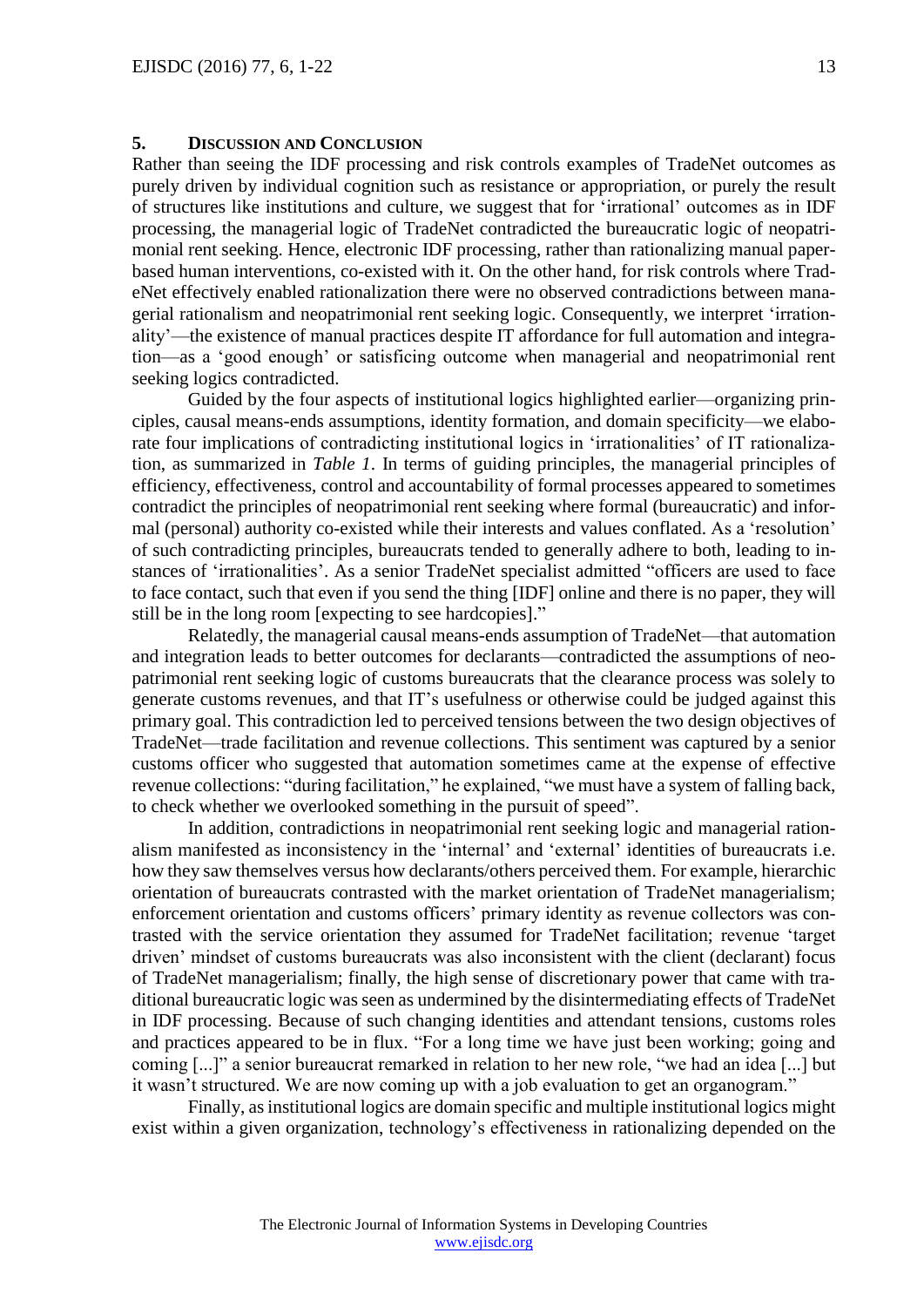#### **5. DISCUSSION AND CONCLUSION**

Rather than seeing the IDF processing and risk controls examples of TradeNet outcomes as purely driven by individual cognition such as resistance or appropriation, or purely the result of structures like institutions and culture, we suggest that for 'irrational' outcomes as in IDF processing, the managerial logic of TradeNet contradicted the bureaucratic logic of neopatrimonial rent seeking. Hence, electronic IDF processing, rather than rationalizing manual paperbased human interventions, co-existed with it. On the other hand, for risk controls where TradeNet effectively enabled rationalization there were no observed contradictions between managerial rationalism and neopatrimonial rent seeking logic. Consequently, we interpret 'irrationality'—the existence of manual practices despite IT affordance for full automation and integration—as a 'good enough' or satisficing outcome when managerial and neopatrimonial rent seeking logics contradicted.

Guided by the four aspects of institutional logics highlighted earlier—organizing principles, causal means-ends assumptions, identity formation, and domain specificity—we elaborate four implications of contradicting institutional logics in 'irrationalities' of IT rationalization, as summarized in *Table 1*. In terms of guiding principles, the managerial principles of efficiency, effectiveness, control and accountability of formal processes appeared to sometimes contradict the principles of neopatrimonial rent seeking where formal (bureaucratic) and informal (personal) authority co-existed while their interests and values conflated. As a 'resolution' of such contradicting principles, bureaucrats tended to generally adhere to both, leading to instances of 'irrationalities'. As a senior TradeNet specialist admitted "officers are used to face to face contact, such that even if you send the thing [IDF] online and there is no paper, they will still be in the long room [expecting to see hardcopies]."

Relatedly, the managerial causal means-ends assumption of TradeNet—that automation and integration leads to better outcomes for declarants—contradicted the assumptions of neopatrimonial rent seeking logic of customs bureaucrats that the clearance process was solely to generate customs revenues, and that IT's usefulness or otherwise could be judged against this primary goal. This contradiction led to perceived tensions between the two design objectives of TradeNet—trade facilitation and revenue collections. This sentiment was captured by a senior customs officer who suggested that automation sometimes came at the expense of effective revenue collections: "during facilitation," he explained, "we must have a system of falling back, to check whether we overlooked something in the pursuit of speed".

In addition, contradictions in neopatrimonial rent seeking logic and managerial rationalism manifested as inconsistency in the 'internal' and 'external' identities of bureaucrats i.e. how they saw themselves versus how declarants/others perceived them. For example, hierarchic orientation of bureaucrats contrasted with the market orientation of TradeNet managerialism; enforcement orientation and customs officers' primary identity as revenue collectors was contrasted with the service orientation they assumed for TradeNet facilitation; revenue 'target driven' mindset of customs bureaucrats was also inconsistent with the client (declarant) focus of TradeNet managerialism; finally, the high sense of discretionary power that came with traditional bureaucratic logic was seen as undermined by the disintermediating effects of TradeNet in IDF processing. Because of such changing identities and attendant tensions, customs roles and practices appeared to be in flux. "For a long time we have just been working; going and coming [...]" a senior bureaucrat remarked in relation to her new role, "we had an idea [...] but it wasn't structured. We are now coming up with a job evaluation to get an organogram."

Finally, as institutional logics are domain specific and multiple institutional logics might exist within a given organization, technology's effectiveness in rationalizing depended on the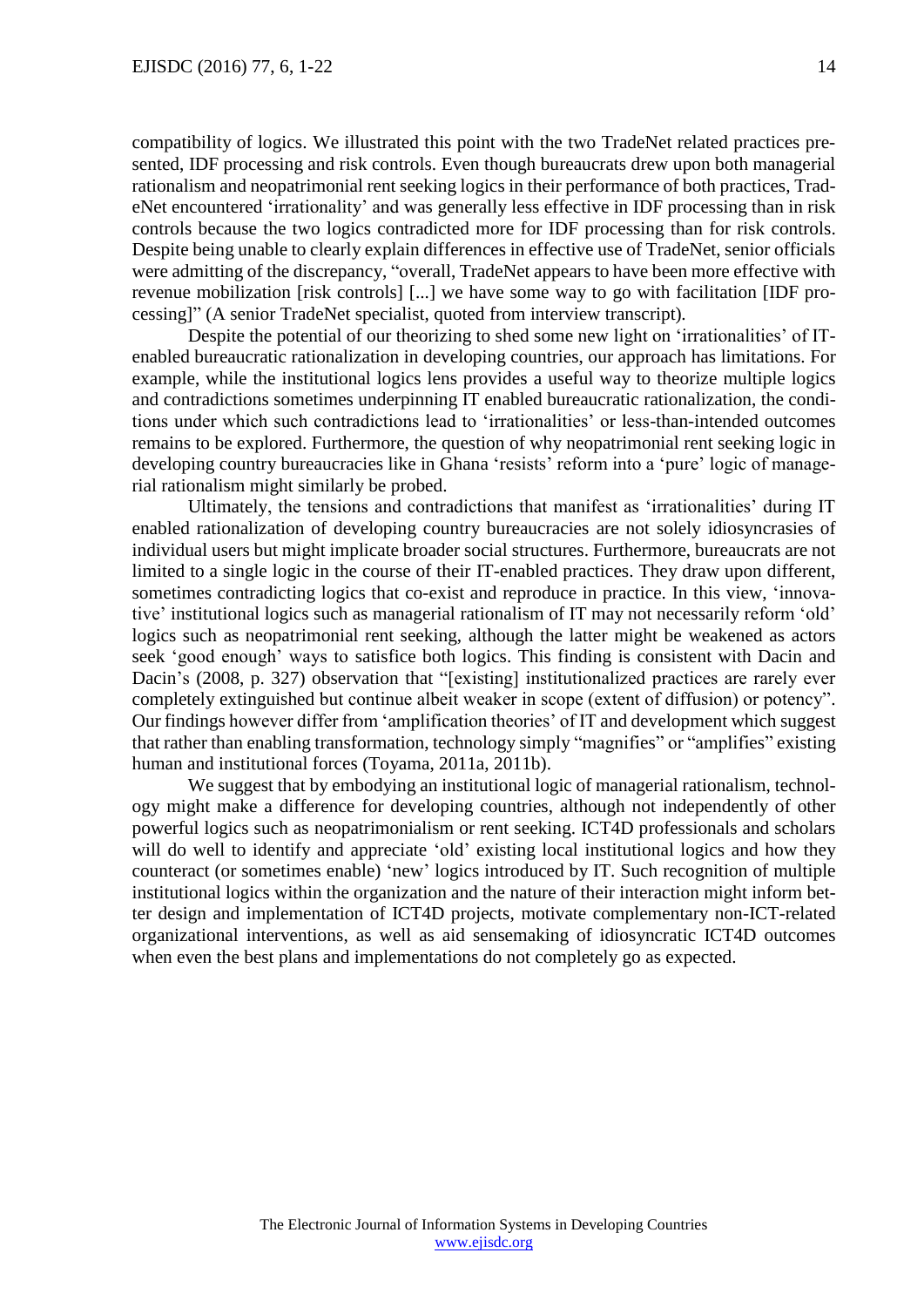compatibility of logics. We illustrated this point with the two TradeNet related practices presented, IDF processing and risk controls. Even though bureaucrats drew upon both managerial rationalism and neopatrimonial rent seeking logics in their performance of both practices, TradeNet encountered 'irrationality' and was generally less effective in IDF processing than in risk controls because the two logics contradicted more for IDF processing than for risk controls. Despite being unable to clearly explain differences in effective use of TradeNet, senior officials were admitting of the discrepancy, "overall, TradeNet appears to have been more effective with revenue mobilization [risk controls] [...] we have some way to go with facilitation [IDF processing]" (A senior TradeNet specialist, quoted from interview transcript)*.*

Despite the potential of our theorizing to shed some new light on 'irrationalities' of ITenabled bureaucratic rationalization in developing countries, our approach has limitations. For example, while the institutional logics lens provides a useful way to theorize multiple logics and contradictions sometimes underpinning IT enabled bureaucratic rationalization, the conditions under which such contradictions lead to 'irrationalities' or less-than-intended outcomes remains to be explored. Furthermore, the question of why neopatrimonial rent seeking logic in developing country bureaucracies like in Ghana 'resists' reform into a 'pure' logic of managerial rationalism might similarly be probed.

Ultimately, the tensions and contradictions that manifest as 'irrationalities' during IT enabled rationalization of developing country bureaucracies are not solely idiosyncrasies of individual users but might implicate broader social structures. Furthermore, bureaucrats are not limited to a single logic in the course of their IT-enabled practices. They draw upon different, sometimes contradicting logics that co-exist and reproduce in practice. In this view, 'innovative' institutional logics such as managerial rationalism of IT may not necessarily reform 'old' logics such as neopatrimonial rent seeking, although the latter might be weakened as actors seek 'good enough' ways to satisfice both logics. This finding is consistent with Dacin and Dacin's (2008, p. 327) observation that "[existing] institutionalized practices are rarely ever completely extinguished but continue albeit weaker in scope (extent of diffusion) or potency". Our findings however differ from 'amplification theories' of IT and development which suggest that rather than enabling transformation, technology simply "magnifies" or "amplifies" existing human and institutional forces (Toyama, 2011a, 2011b).

We suggest that by embodying an institutional logic of managerial rationalism, technology might make a difference for developing countries, although not independently of other powerful logics such as neopatrimonialism or rent seeking. ICT4D professionals and scholars will do well to identify and appreciate 'old' existing local institutional logics and how they counteract (or sometimes enable) 'new' logics introduced by IT. Such recognition of multiple institutional logics within the organization and the nature of their interaction might inform better design and implementation of ICT4D projects, motivate complementary non-ICT-related organizational interventions, as well as aid sensemaking of idiosyncratic ICT4D outcomes when even the best plans and implementations do not completely go as expected.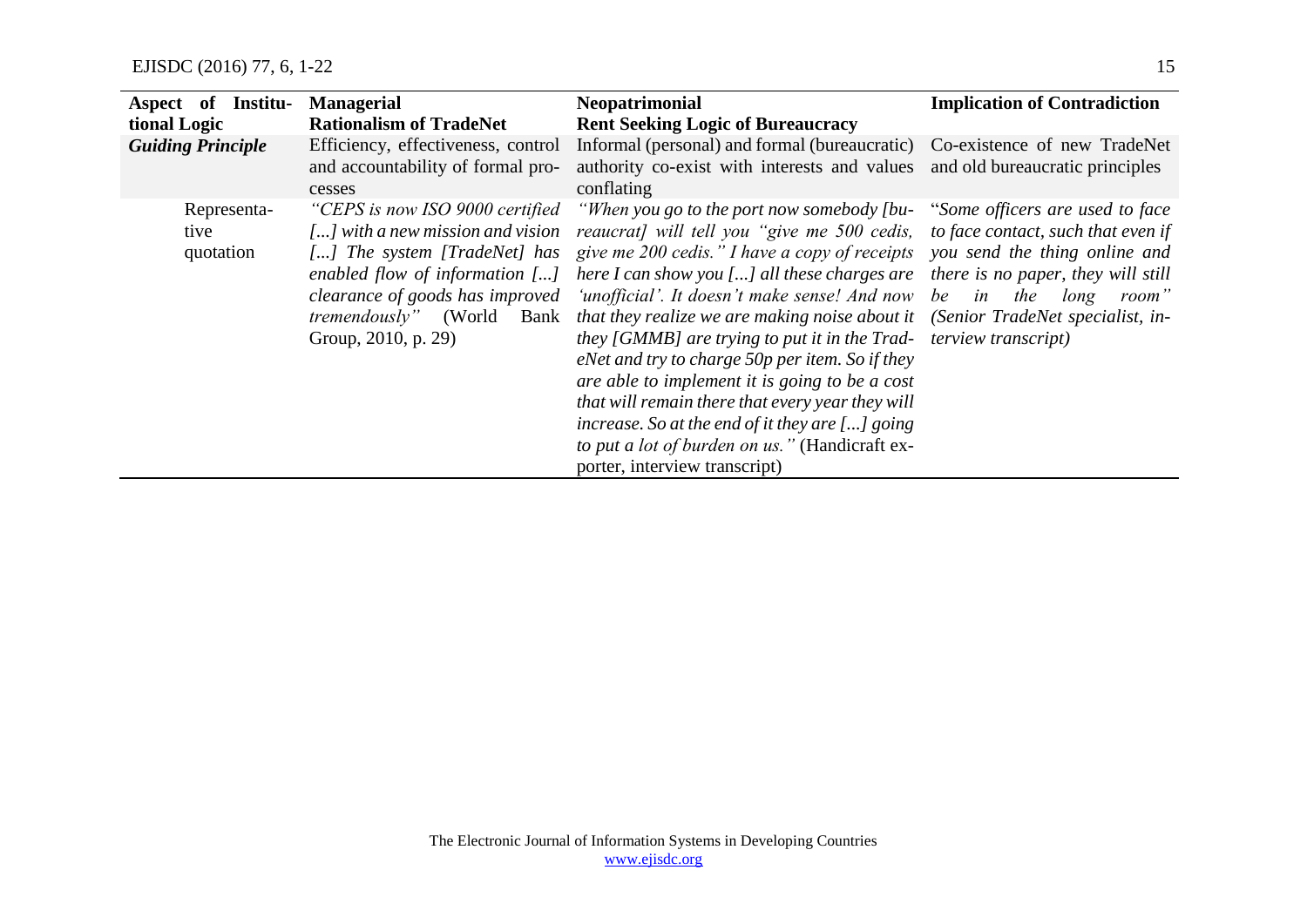| Aspect of<br>Institu-            | <b>Managerial</b>                                                                                                                                                                                                                                               | Neopatrimonial                                                                                                                                                                                                                                                                                                                                                                                                                                                                                                                                                                                                                                                                                                                                                                                                                                                           | <b>Implication of Contradiction</b>                             |
|----------------------------------|-----------------------------------------------------------------------------------------------------------------------------------------------------------------------------------------------------------------------------------------------------------------|--------------------------------------------------------------------------------------------------------------------------------------------------------------------------------------------------------------------------------------------------------------------------------------------------------------------------------------------------------------------------------------------------------------------------------------------------------------------------------------------------------------------------------------------------------------------------------------------------------------------------------------------------------------------------------------------------------------------------------------------------------------------------------------------------------------------------------------------------------------------------|-----------------------------------------------------------------|
| tional Logic                     | <b>Rationalism of TradeNet</b>                                                                                                                                                                                                                                  | <b>Rent Seeking Logic of Bureaucracy</b>                                                                                                                                                                                                                                                                                                                                                                                                                                                                                                                                                                                                                                                                                                                                                                                                                                 |                                                                 |
| <b>Guiding Principle</b>         | Efficiency, effectiveness, control<br>and accountability of formal pro-<br>cesses                                                                                                                                                                               | Informal (personal) and formal (bureaucratic)<br>authority co-exist with interests and values<br>conflating                                                                                                                                                                                                                                                                                                                                                                                                                                                                                                                                                                                                                                                                                                                                                              | Co-existence of new TradeNet<br>and old bureaucratic principles |
| Representa-<br>tive<br>quotation | "CEPS is now ISO 9000 certified<br>$\left[\ldots\right]$ with a new mission and vision<br>[] The system [TradeNet] has<br>enabled flow of information $[]$<br>clearance of goods has improved<br>(World<br><i>tremendously</i> "<br>Bank<br>Group, 2010, p. 29) | "When you go to the port now somebody [bu- "Some officers are used to face"<br>reaucrat] will tell you "give me 500 cedis, to face contact, such that even if<br>give me 200 cedis." I have a copy of receipts you send the thing online and<br>here I can show you [] all these charges are there is no paper, they will still<br>'unofficial'. It doesn't make sense! And now be in the long<br>that they realize we are making noise about it (Senior TradeNet specialist, in-<br>they [GMMB] are trying to put it in the Trad- terview transcript)<br>eNet and try to charge 50p per item. So if they<br>are able to implement it is going to be a cost<br>that will remain there that every year they will<br>increase. So at the end of it they are $\left[\ldots\right]$ going<br>to put a lot of burden on us." (Handicraft ex-<br>porter, interview transcript) | room"                                                           |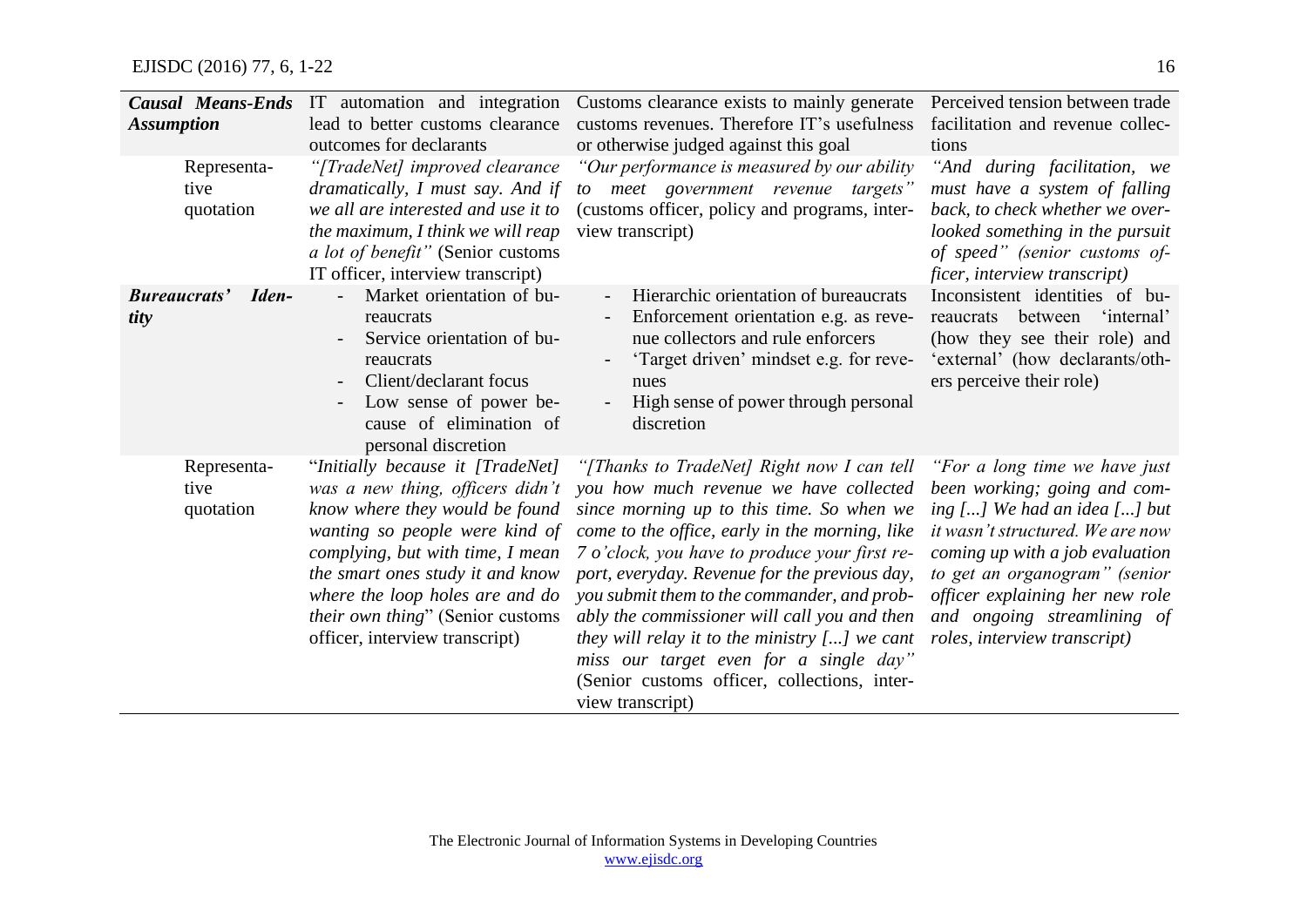## EJISDC (2016) 77, 6, 1-22

| <b>Causal Means-Ends</b><br><b>Assumption</b><br>Representa- | IT automation and integration<br>lead to better customs clearance<br>outcomes for declarants<br>"[TradeNet] improved clearance                                                                                                                                                                                            | Customs clearance exists to mainly generate<br>customs revenues. Therefore IT's usefulness<br>or otherwise judged against this goal<br>"Our performance is measured by our ability"                                                                                                                                                                                                                                                                                                                                                                   | Perceived tension between trade<br>facilitation and revenue collec-<br>tions<br>"And during facilitation, we                                                                                                                                                                                            |
|--------------------------------------------------------------|---------------------------------------------------------------------------------------------------------------------------------------------------------------------------------------------------------------------------------------------------------------------------------------------------------------------------|-------------------------------------------------------------------------------------------------------------------------------------------------------------------------------------------------------------------------------------------------------------------------------------------------------------------------------------------------------------------------------------------------------------------------------------------------------------------------------------------------------------------------------------------------------|---------------------------------------------------------------------------------------------------------------------------------------------------------------------------------------------------------------------------------------------------------------------------------------------------------|
| tive<br>quotation                                            | dramatically, I must say. And if<br>we all are interested and use it to<br>the maximum, I think we will reap<br>a lot of benefit" (Senior customs<br>IT officer, interview transcript)                                                                                                                                    | to meet government revenue targets"<br>(customs officer, policy and programs, inter-<br>view transcript)                                                                                                                                                                                                                                                                                                                                                                                                                                              | must have a system of falling<br>back, to check whether we over-<br>looked something in the pursuit<br>of speed" (senior customs of-<br><i>ficer, interview transcript)</i>                                                                                                                             |
| <b>Bureaucrats'</b><br>Iden-<br>tity                         | Market orientation of bu-<br>reaucrats<br>Service orientation of bu-<br>reaucrats<br>Client/declarant focus<br>Low sense of power be-<br>cause of elimination of<br>personal discretion                                                                                                                                   | Hierarchic orientation of bureaucrats<br>Enforcement orientation e.g. as reve-<br>nue collectors and rule enforcers<br>'Target driven' mindset e.g. for reve-<br>nues<br>High sense of power through personal<br>discretion                                                                                                                                                                                                                                                                                                                           | Inconsistent identities of bu-<br>reaucrats between<br>'internal'<br>(how they see their role) and<br>'external' (how declarants/oth-<br>ers perceive their role)                                                                                                                                       |
| Representa-<br>tive<br>quotation                             | "Initially because it [TradeNet]<br>was a new thing, officers didn't<br>know where they would be found<br>wanting so people were kind of<br>complying, but with time, I mean<br>the smart ones study it and know<br>where the loop holes are and do<br>their own thing" (Senior customs<br>officer, interview transcript) | "[Thanks to TradeNet] Right now I can tell<br>you how much revenue we have collected<br>since morning up to this time. So when we<br>come to the office, early in the morning, like<br>7 o'clock, you have to produce your first re-<br>port, everyday. Revenue for the previous day,<br>you submit them to the commander, and prob-<br>ably the commissioner will call you and then<br>they will relay it to the ministry $[]$ we cant<br>miss our target even for a single day"<br>(Senior customs officer, collections, inter-<br>view transcript) | "For a long time we have just<br>been working; going and com-<br>ing [] We had an idea [] but<br>it wasn't structured. We are now<br>coming up with a job evaluation<br>to get an organogram" (senior<br>officer explaining her new role<br>and ongoing streamlining of<br>roles, interview transcript) |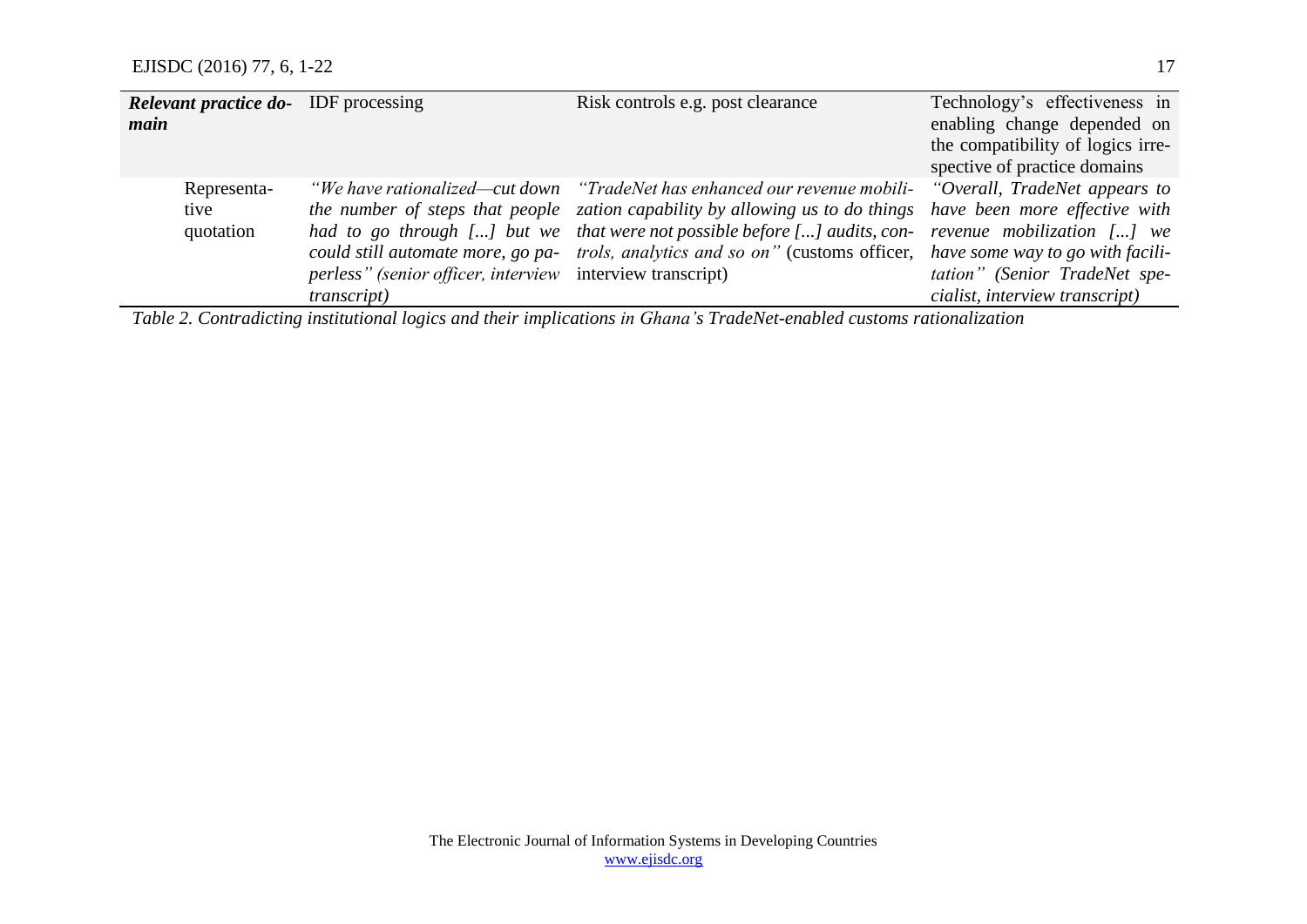| <b>Relevant practice do-</b> IDF processing |                                                           | Risk controls e.g. post clearance                                                                                | Technology's effectiveness in     |
|---------------------------------------------|-----------------------------------------------------------|------------------------------------------------------------------------------------------------------------------|-----------------------------------|
| main                                        |                                                           |                                                                                                                  | enabling change depended on       |
|                                             |                                                           |                                                                                                                  | the compatibility of logics irre- |
|                                             |                                                           |                                                                                                                  | spective of practice domains      |
| Representa-                                 |                                                           | "We have rationalized—cut down "TradeNet has enhanced our revenue mobili-                                        | "Overall, TradeNet appears to     |
| tive                                        |                                                           | the number of steps that people zation capability by allowing us to do things                                    | have been more effective with     |
| quotation                                   |                                                           | had to go through [] but we that were not possible before [] audits, con-                                        | revenue mobilization [] we        |
|                                             |                                                           | could still automate more, go pa- trols, analytics and so on" (customs officer, have some way to go with facili- |                                   |
|                                             | perless" (senior officer, interview interview transcript) |                                                                                                                  | tation" (Senior TradeNet spe-     |
|                                             | <i>transcript</i> )                                       |                                                                                                                  | cialist, interview transcript)    |

*Table 2. Contradicting institutional logics and their implications in Ghana's TradeNet-enabled customs rationalization*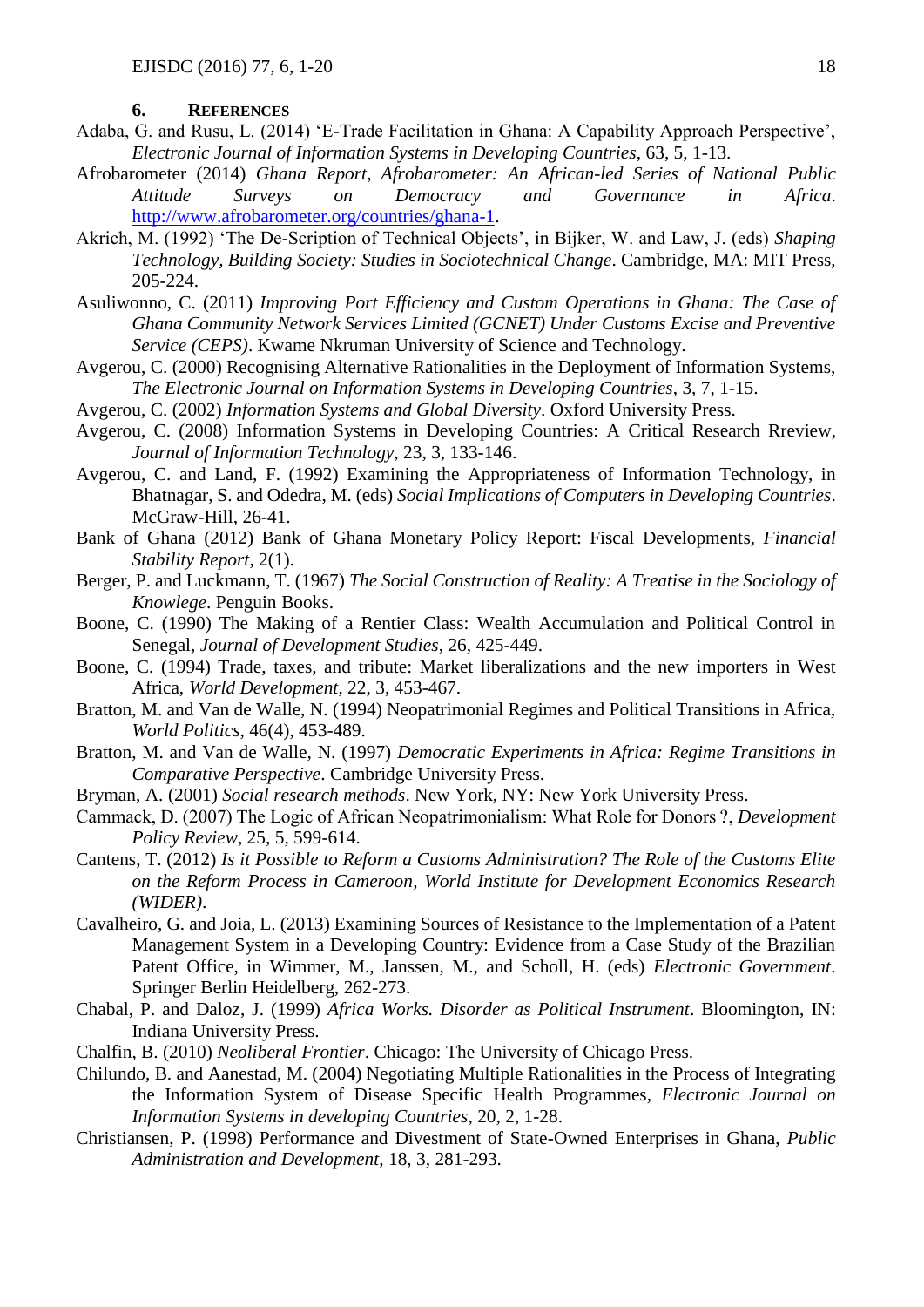#### **6. REFERENCES**

- Adaba, G. and Rusu, L. (2014) 'E-Trade Facilitation in Ghana: A Capability Approach Perspective', *Electronic Journal of Information Systems in Developing Countries*, 63, 5, 1-13.
- Afrobarometer (2014) *Ghana Report*, *Afrobarometer: An African-led Series of National Public Attitude Surveys on Democracy and Governance in Africa*. [http://www.afrobarometer.org/countries/ghana-1.](http://www.afrobarometer.org/countries/ghana-1)
- Akrich, M. (1992) 'The De-Scription of Technical Objects', in Bijker, W. and Law, J. (eds) *Shaping Technology, Building Society: Studies in Sociotechnical Change*. Cambridge, MA: MIT Press, 205-224.
- Asuliwonno, C. (2011) *Improving Port Efficiency and Custom Operations in Ghana: The Case of Ghana Community Network Services Limited (GCNET) Under Customs Excise and Preventive Service (CEPS)*. Kwame Nkruman University of Science and Technology.
- Avgerou, C. (2000) Recognising Alternative Rationalities in the Deployment of Information Systems, *The Electronic Journal on Information Systems in Developing Countries*, 3, 7, 1-15.
- Avgerou, C. (2002) *Information Systems and Global Diversity*. Oxford University Press.
- Avgerou, C. (2008) Information Systems in Developing Countries: A Critical Research Rreview, *Journal of Information Technology*, 23, 3, 133-146.
- Avgerou, C. and Land, F. (1992) Examining the Appropriateness of Information Technology, in Bhatnagar, S. and Odedra, M. (eds) *Social Implications of Computers in Developing Countries*. McGraw-Hill, 26-41.
- Bank of Ghana (2012) Bank of Ghana Monetary Policy Report: Fiscal Developments, *Financial Stability Report*, 2(1).
- Berger, P. and Luckmann, T. (1967) *The Social Construction of Reality: A Treatise in the Sociology of Knowlege*. Penguin Books.
- Boone, C. (1990) The Making of a Rentier Class: Wealth Accumulation and Political Control in Senegal, *Journal of Development Studies*, 26, 425-449.
- Boone, C. (1994) Trade, taxes, and tribute: Market liberalizations and the new importers in West Africa, *World Development*, 22, 3, 453-467.
- Bratton, M. and Van de Walle, N. (1994) Neopatrimonial Regimes and Political Transitions in Africa, *World Politics*, 46(4), 453-489.
- Bratton, M. and Van de Walle, N. (1997) *Democratic Experiments in Africa: Regime Transitions in Comparative Perspective*. Cambridge University Press.
- Bryman, A. (2001) *Social research methods*. New York, NY: New York University Press.
- Cammack, D. (2007) The Logic of African Neopatrimonialism: What Role for Donors ?, *Development Policy Review*, 25, 5, 599-614.
- Cantens, T. (2012) *Is it Possible to Reform a Customs Administration? The Role of the Customs Elite on the Reform Process in Cameroon*, *World Institute for Development Economics Research (WIDER)*.
- Cavalheiro, G. and Joia, L. (2013) Examining Sources of Resistance to the Implementation of a Patent Management System in a Developing Country: Evidence from a Case Study of the Brazilian Patent Office, in Wimmer, M., Janssen, M., and Scholl, H. (eds) *Electronic Government*. Springer Berlin Heidelberg, 262-273.
- Chabal, P. and Daloz, J. (1999) *Africa Works. Disorder as Political Instrument*. Bloomington, IN: Indiana University Press.
- Chalfin, B. (2010) *Neoliberal Frontier*. Chicago: The University of Chicago Press.
- Chilundo, B. and Aanestad, M. (2004) Negotiating Multiple Rationalities in the Process of Integrating the Information System of Disease Specific Health Programmes, *Electronic Journal on Information Systems in developing Countries*, 20, 2, 1-28.
- Christiansen, P. (1998) Performance and Divestment of State-Owned Enterprises in Ghana, *Public Administration and Development*, 18, 3, 281-293.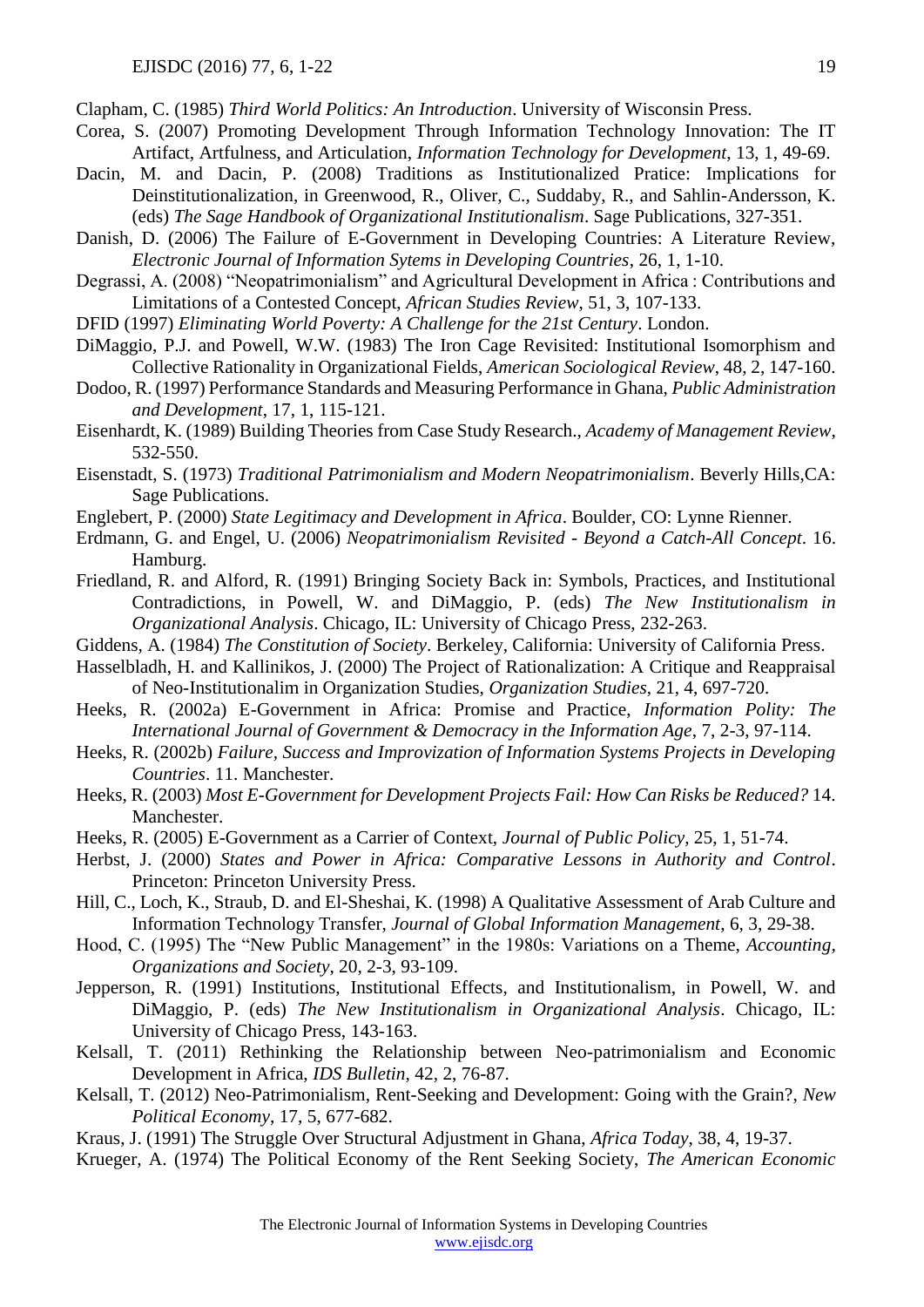Clapham, C. (1985) *Third World Politics: An Introduction*. University of Wisconsin Press.

- Corea, S. (2007) Promoting Development Through Information Technology Innovation: The IT Artifact, Artfulness, and Articulation, *Information Technology for Development*, 13, 1, 49-69.
- Dacin, M. and Dacin, P. (2008) Traditions as Institutionalized Pratice: Implications for Deinstitutionalization, in Greenwood, R., Oliver, C., Suddaby, R., and Sahlin-Andersson, K. (eds) *The Sage Handbook of Organizational Institutionalism*. Sage Publications, 327-351.
- Danish, D. (2006) The Failure of E-Government in Developing Countries: A Literature Review, *Electronic Journal of Information Sytems in Developing Countries*, 26, 1, 1-10.
- Degrassi, A. (2008) "Neopatrimonialism" and Agricultural Development in Africa : Contributions and Limitations of a Contested Concept, *African Studies Review*, 51, 3, 107-133.
- DFID (1997) *Eliminating World Poverty: A Challenge for the 21st Century*. London.
- DiMaggio, P.J. and Powell, W.W. (1983) The Iron Cage Revisited: Institutional Isomorphism and Collective Rationality in Organizational Fields, *American Sociological Review*, 48, 2, 147-160.
- Dodoo, R. (1997) Performance Standards and Measuring Performance in Ghana, *Public Administration and Development*, 17, 1, 115-121.
- Eisenhardt, K. (1989) Building Theories from Case Study Research., *Academy of Management Review*, 532-550.
- Eisenstadt, S. (1973) *Traditional Patrimonialism and Modern Neopatrimonialism*. Beverly Hills,CA: Sage Publications.
- Englebert, P. (2000) *State Legitimacy and Development in Africa*. Boulder, CO: Lynne Rienner.
- Erdmann, G. and Engel, U. (2006) *Neopatrimonialism Revisited - Beyond a Catch-All Concept*. 16. Hamburg.
- Friedland, R. and Alford, R. (1991) Bringing Society Back in: Symbols, Practices, and Institutional Contradictions, in Powell, W. and DiMaggio, P. (eds) *The New Institutionalism in Organizational Analysis*. Chicago, IL: University of Chicago Press, 232-263.
- Giddens, A. (1984) *The Constitution of Society*. Berkeley, California: University of California Press.
- Hasselbladh, H. and Kallinikos, J. (2000) The Project of Rationalization: A Critique and Reappraisal of Neo-Institutionalim in Organization Studies, *Organization Studies*, 21, 4, 697-720.
- Heeks, R. (2002a) E-Government in Africa: Promise and Practice, *Information Polity: The International Journal of Government & Democracy in the Information Age*, 7, 2-3, 97-114.
- Heeks, R. (2002b) *Failure, Success and Improvization of Information Systems Projects in Developing Countries*. 11. Manchester.
- Heeks, R. (2003) *Most E-Government for Development Projects Fail: How Can Risks be Reduced?* 14. Manchester.
- Heeks, R. (2005) E-Government as a Carrier of Context, *Journal of Public Policy*, 25, 1, 51-74.
- Herbst, J. (2000) *States and Power in Africa: Comparative Lessons in Authority and Control*. Princeton: Princeton University Press.
- Hill, C., Loch, K., Straub, D. and El-Sheshai, K. (1998) A Qualitative Assessment of Arab Culture and Information Technology Transfer, *Journal of Global Information Management*, 6, 3, 29-38.
- Hood, C. (1995) The "New Public Management" in the 1980s: Variations on a Theme, *Accounting, Organizations and Society*, 20, 2-3, 93-109.
- Jepperson, R. (1991) Institutions, Institutional Effects, and Institutionalism, in Powell, W. and DiMaggio, P. (eds) *The New Institutionalism in Organizational Analysis*. Chicago, IL: University of Chicago Press, 143-163.
- Kelsall, T. (2011) Rethinking the Relationship between Neo-patrimonialism and Economic Development in Africa, *IDS Bulletin*, 42, 2, 76-87.
- Kelsall, T. (2012) Neo-Patrimonialism, Rent-Seeking and Development: Going with the Grain?, *New Political Economy*, 17, 5, 677-682.
- Kraus, J. (1991) The Struggle Over Structural Adjustment in Ghana, *Africa Today*, 38, 4, 19-37.
- Krueger, A. (1974) The Political Economy of the Rent Seeking Society, *The American Economic*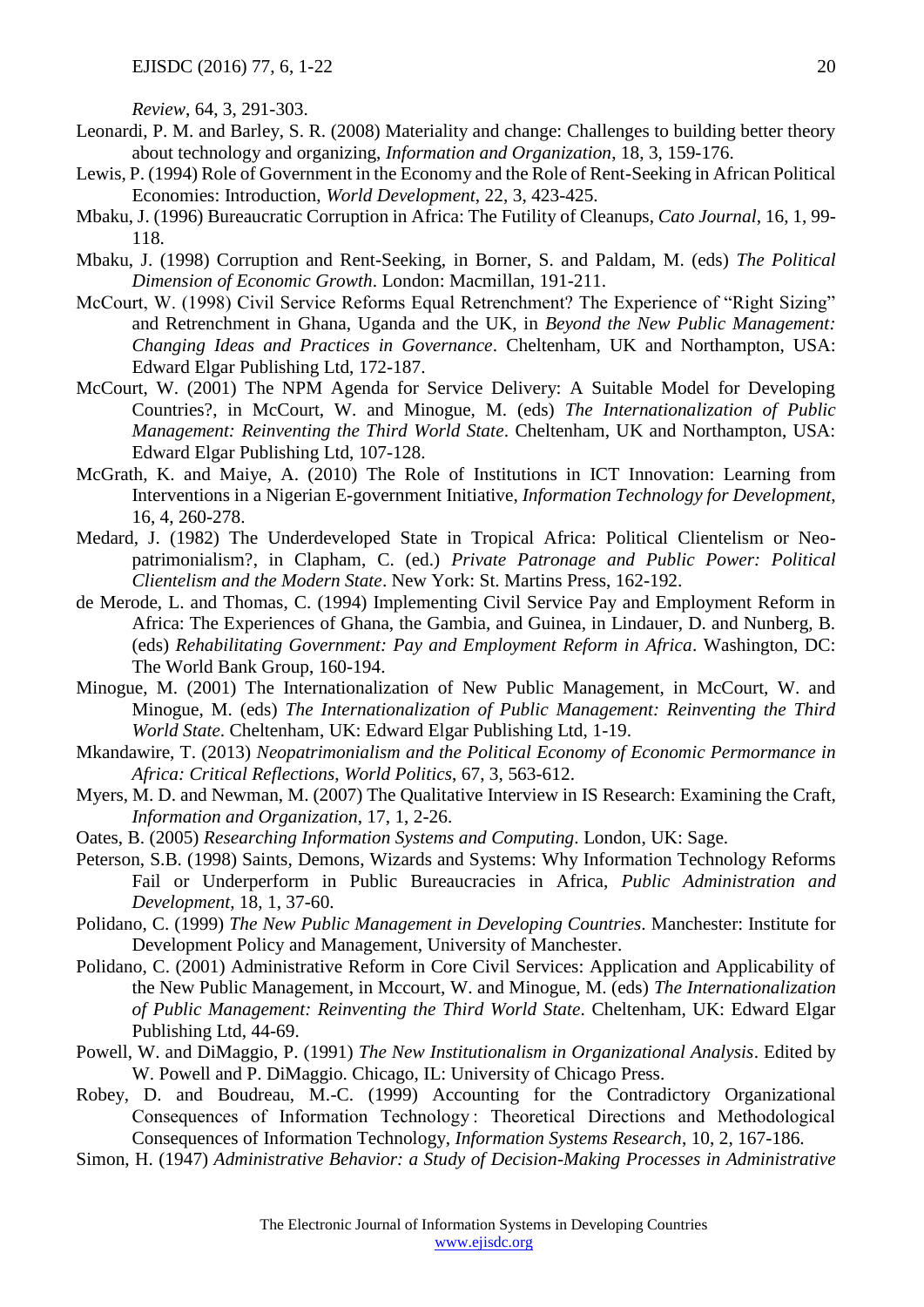*Review*, 64, 3, 291-303.

- Leonardi, P. M. and Barley, S. R. (2008) Materiality and change: Challenges to building better theory about technology and organizing, *Information and Organization*, 18, 3, 159-176.
- Lewis, P. (1994) Role of Government in the Economy and the Role of Rent-Seeking in African Political Economies: Introduction, *World Development*, 22, 3, 423-425.
- Mbaku, J. (1996) Bureaucratic Corruption in Africa: The Futility of Cleanups, *Cato Journal*, 16, 1, 99- 118.
- Mbaku, J. (1998) Corruption and Rent-Seeking, in Borner, S. and Paldam, M. (eds) *The Political Dimension of Economic Growth*. London: Macmillan, 191-211.
- McCourt, W. (1998) Civil Service Reforms Equal Retrenchment? The Experience of "Right Sizing" and Retrenchment in Ghana, Uganda and the UK, in *Beyond the New Public Management: Changing Ideas and Practices in Governance*. Cheltenham, UK and Northampton, USA: Edward Elgar Publishing Ltd, 172-187.
- McCourt, W. (2001) The NPM Agenda for Service Delivery: A Suitable Model for Developing Countries?, in McCourt, W. and Minogue, M. (eds) *The Internationalization of Public Management: Reinventing the Third World State*. Cheltenham, UK and Northampton, USA: Edward Elgar Publishing Ltd, 107-128.
- McGrath, K. and Maiye, A. (2010) The Role of Institutions in ICT Innovation: Learning from Interventions in a Nigerian E-government Initiative, *Information Technology for Development*, 16, 4, 260-278.
- Medard, J. (1982) The Underdeveloped State in Tropical Africa: Political Clientelism or Neopatrimonialism?, in Clapham, C. (ed.) *Private Patronage and Public Power: Political Clientelism and the Modern State*. New York: St. Martins Press, 162-192.
- de Merode, L. and Thomas, C. (1994) Implementing Civil Service Pay and Employment Reform in Africa: The Experiences of Ghana, the Gambia, and Guinea, in Lindauer, D. and Nunberg, B. (eds) *Rehabilitating Government: Pay and Employment Reform in Africa*. Washington, DC: The World Bank Group, 160-194.
- Minogue, M. (2001) The Internationalization of New Public Management, in McCourt, W. and Minogue, M. (eds) *The Internationalization of Public Management: Reinventing the Third World State*. Cheltenham, UK: Edward Elgar Publishing Ltd, 1-19.
- Mkandawire, T. (2013) *Neopatrimonialism and the Political Economy of Economic Permormance in Africa: Critical Reflections*, *World Politics*, 67, 3, 563-612.
- Myers, M. D. and Newman, M. (2007) The Qualitative Interview in IS Research: Examining the Craft, *Information and Organization*, 17, 1, 2-26.
- Oates, B. (2005) *Researching Information Systems and Computing*. London, UK: Sage.
- Peterson, S.B. (1998) Saints, Demons, Wizards and Systems: Why Information Technology Reforms Fail or Underperform in Public Bureaucracies in Africa, *Public Administration and Development*, 18, 1, 37-60.
- Polidano, C. (1999) *The New Public Management in Developing Countries*. Manchester: Institute for Development Policy and Management, University of Manchester.
- Polidano, C. (2001) Administrative Reform in Core Civil Services: Application and Applicability of the New Public Management, in Mccourt, W. and Minogue, M. (eds) *The Internationalization of Public Management: Reinventing the Third World State*. Cheltenham, UK: Edward Elgar Publishing Ltd, 44-69.
- Powell, W. and DiMaggio, P. (1991) *The New Institutionalism in Organizational Analysis*. Edited by W. Powell and P. DiMaggio. Chicago, IL: University of Chicago Press.
- Robey, D. and Boudreau, M.-C. (1999) Accounting for the Contradictory Organizational Consequences of Information Technology : Theoretical Directions and Methodological Consequences of Information Technology, *Information Systems Research*, 10, 2, 167-186.
- Simon, H. (1947) *Administrative Behavior: a Study of Decision-Making Processes in Administrative*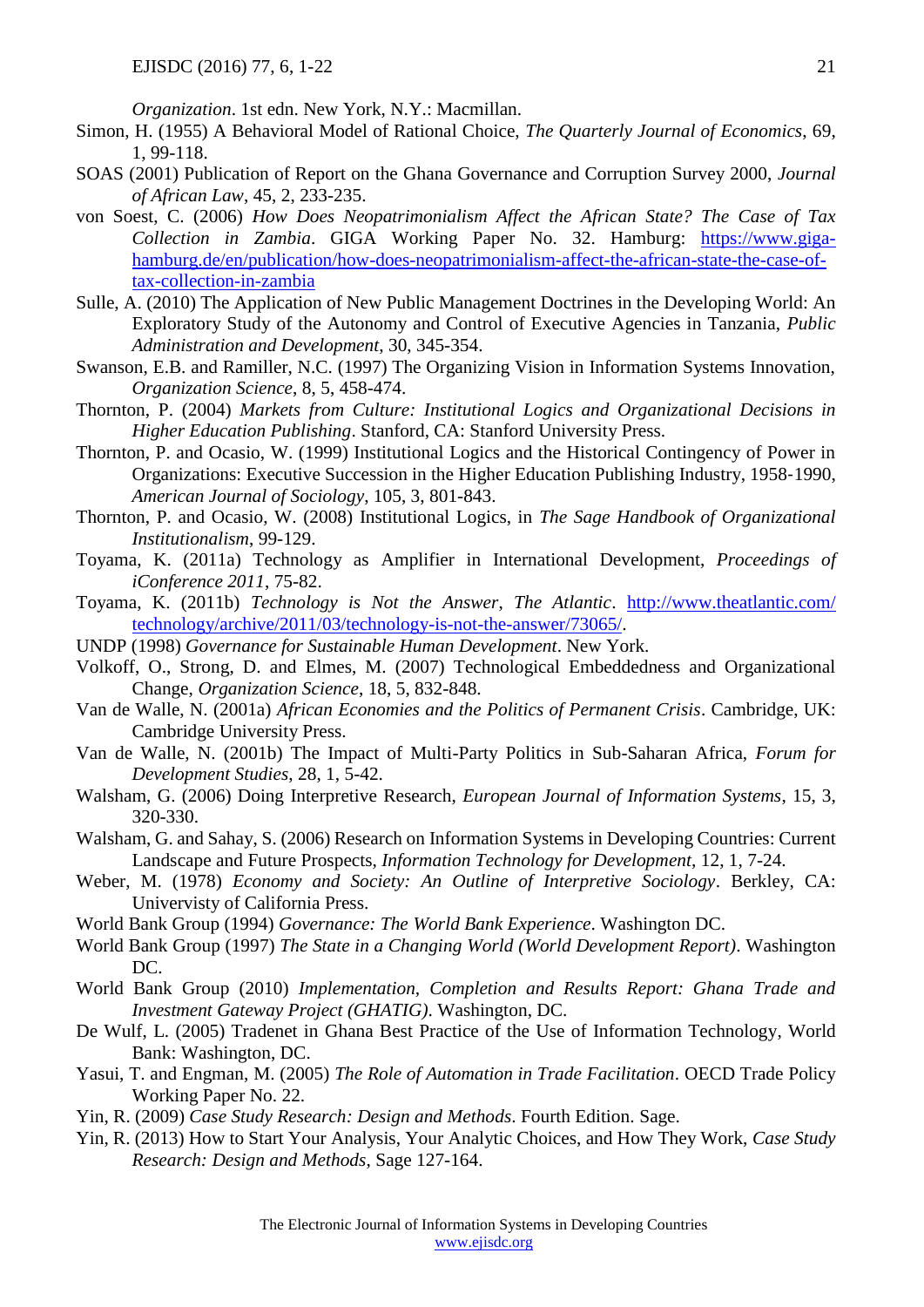*Organization*. 1st edn. New York, N.Y.: Macmillan.

- Simon, H. (1955) A Behavioral Model of Rational Choice, *The Quarterly Journal of Economics*, 69, 1, 99-118.
- SOAS (2001) Publication of Report on the Ghana Governance and Corruption Survey 2000, *Journal of African Law*, 45, 2, 233-235.
- von Soest, C. (2006) *How Does Neopatrimonialism Affect the African State? The Case of Tax Collection in Zambia*. GIGA Working Paper No. 32. Hamburg: [https://www.giga](https://www.giga-hamburg.de/en/publication/how-does-neopatrimonialism-affect-the-african-state-the-case-of-tax-collection-in-zambia)[hamburg.de/en/publication/how-does-neopatrimonialism-affect-the-african-state-the-case-of](https://www.giga-hamburg.de/en/publication/how-does-neopatrimonialism-affect-the-african-state-the-case-of-tax-collection-in-zambia)[tax-collection-in-zambia](https://www.giga-hamburg.de/en/publication/how-does-neopatrimonialism-affect-the-african-state-the-case-of-tax-collection-in-zambia)
- Sulle, A. (2010) The Application of New Public Management Doctrines in the Developing World: An Exploratory Study of the Autonomy and Control of Executive Agencies in Tanzania, *Public Administration and Development*, 30, 345-354.
- Swanson, E.B. and Ramiller, N.C. (1997) The Organizing Vision in Information Systems Innovation, *Organization Science*, 8, 5, 458-474.
- Thornton, P. (2004) *Markets from Culture: Institutional Logics and Organizational Decisions in Higher Education Publishing*. Stanford, CA: Stanford University Press.
- Thornton, P. and Ocasio, W. (1999) Institutional Logics and the Historical Contingency of Power in Organizations: Executive Succession in the Higher Education Publishing Industry, 1958‐1990, *American Journal of Sociology*, 105, 3, 801-843.
- Thornton, P. and Ocasio, W. (2008) Institutional Logics, in *The Sage Handbook of Organizational Institutionalism*, 99-129.
- Toyama, K. (2011a) Technology as Amplifier in International Development, *Proceedings of iConference 2011*, 75-82.
- Toyama, K. (2011b) *Technology is Not the Answer*, *The Atlantic*. [http://www.theatlantic.com/](http://www.theatlantic.com/%20technology/archive/2011/03/technology-is-not-the-answer/73065/)  [technology/archive/2011/03/technology-is-not-the-answer/73065/.](http://www.theatlantic.com/%20technology/archive/2011/03/technology-is-not-the-answer/73065/)
- UNDP (1998) *Governance for Sustainable Human Development*. New York.
- Volkoff, O., Strong, D. and Elmes, M. (2007) Technological Embeddedness and Organizational Change, *Organization Science*, 18, 5, 832-848.
- Van de Walle, N. (2001a) *African Economies and the Politics of Permanent Crisis*. Cambridge, UK: Cambridge University Press.
- Van de Walle, N. (2001b) The Impact of Multi-Party Politics in Sub-Saharan Africa, *Forum for Development Studies*, 28, 1, 5-42.
- Walsham, G. (2006) Doing Interpretive Research, *European Journal of Information Systems*, 15, 3, 320-330.
- Walsham, G. and Sahay, S. (2006) Research on Information Systems in Developing Countries: Current Landscape and Future Prospects, *Information Technology for Development*, 12, 1, 7-24.
- Weber, M. (1978) *Economy and Society: An Outline of Interpretive Sociology*. Berkley, CA: Univervisty of California Press.
- World Bank Group (1994) *Governance: The World Bank Experience*. Washington DC.
- World Bank Group (1997) *The State in a Changing World (World Development Report)*. Washington DC.
- World Bank Group (2010) *Implementation, Completion and Results Report: Ghana Trade and Investment Gateway Project (GHATIG)*. Washington, DC.
- De Wulf, L. (2005) Tradenet in Ghana Best Practice of the Use of Information Technology, World Bank: Washington, DC.
- Yasui, T. and Engman, M. (2005) *The Role of Automation in Trade Facilitation*. OECD Trade Policy Working Paper No. 22.
- Yin, R. (2009) *Case Study Research: Design and Methods*. Fourth Edition. Sage.
- Yin, R. (2013) How to Start Your Analysis, Your Analytic Choices, and How They Work, *Case Study Research: Design and Methods*, Sage 127-164.

21